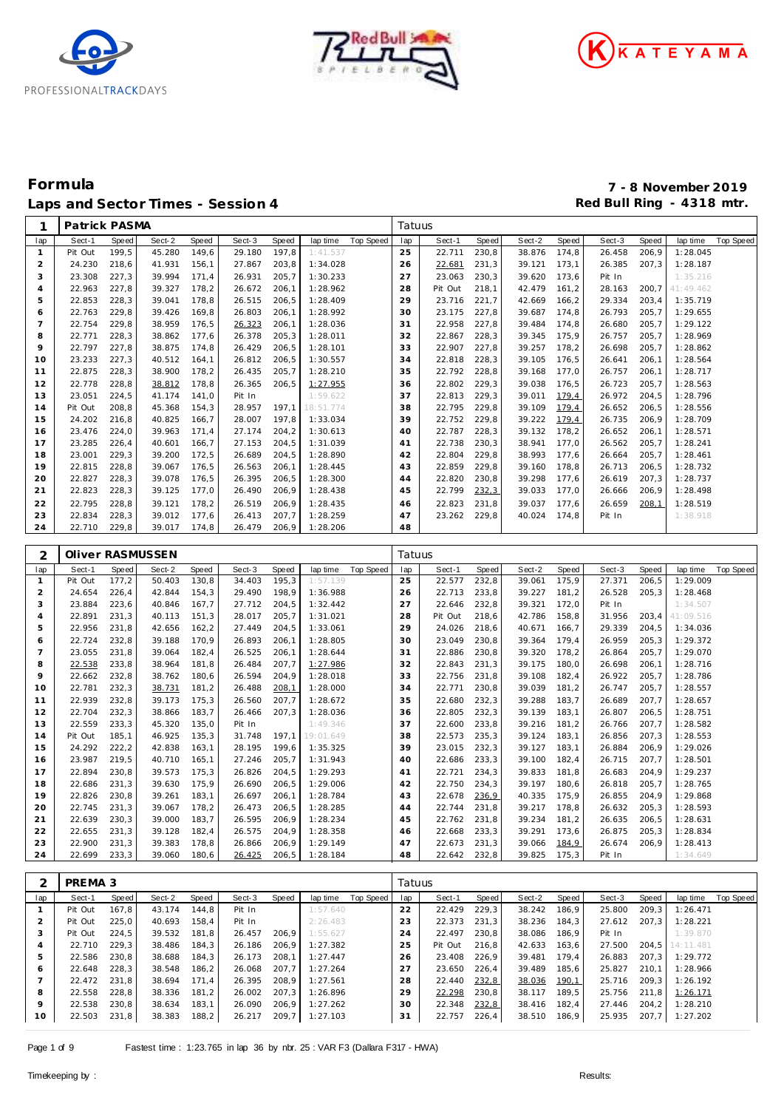





| 1                                | Patrick PASMA            |       |                        |       |                  |        |                      |                     | Tatuus   |                              |       |                              |       |              |        |                                   |                  |
|----------------------------------|--------------------------|-------|------------------------|-------|------------------|--------|----------------------|---------------------|----------|------------------------------|-------|------------------------------|-------|--------------|--------|-----------------------------------|------------------|
| lap                              | Sect-1                   | Speed | Sect-2                 | Speed | Sect-3           | Speed  | lap time             | Top Speed           | lap      | Sect-1                       | Speed | Sect-2                       | Speed | Sect-3       | Speed  | lap time                          | <b>Top Speed</b> |
| -1                               | Pit Out                  | 199,5 | 45.280                 | 149,6 | 29.180           | 197,8  | 1:41.537             |                     | 25       | 22.711                       | 230,8 | 38.876                       | 174,8 | 26.458       | 206,9  | 1:28.045                          |                  |
| 2                                | 24.230                   | 218,6 | 41.931                 | 156,1 | 27.867           | 203,8  | 1:34.028             |                     | 26       | 22.681                       | 231,3 | 39.121                       | 173,1 | 26.385       | 207,3  | 1:28.187                          |                  |
| 3                                | 23.308                   | 227,3 | 39.994                 | 171,4 | 26.931           | 205,7  | 1:30.233             |                     | 27       | 23.063                       | 230,3 | 39.620                       | 173,6 | Pit In       |        | 1:35.216                          |                  |
| $\overline{4}$                   | 22.963                   | 227,8 | 39.327                 | 178,2 | 26.672           | 206, 1 | 1:28.962             |                     | 28       | Pit Out                      | 218,1 | 42.479                       | 161,2 | 28.163       | 200,7  | 41:49.462                         |                  |
| 5                                | 22.853                   | 228,3 | 39.041                 | 178,8 | 26.515           | 206, 5 | 1:28.409             |                     | 29       | 23.716                       | 221,7 | 42.669                       | 166,2 | 29.334       | 203,4  | 1:35.719                          |                  |
| 6                                | 22.763                   | 229,8 | 39.426                 | 169,8 | 26.803           | 206, 1 | 1:28.992             |                     | 30       | 23.175                       | 227,8 | 39.687                       | 174,8 | 26.793       | 205,7  | 1:29.655                          |                  |
| $\overline{7}$                   | 22.754                   | 229,8 | 38.959                 | 176,5 | 26.323           | 206,1  | 1:28.036             |                     | 31       | 22.958                       | 227,8 | 39.484                       | 174,8 | 26.680       | 205,7  | 1:29.122                          |                  |
| 8                                | 22.771                   | 228,3 | 38.862                 | 177,6 | 26.378           | 205,3  | 1:28.011             |                     | 32       | 22.867                       | 228,3 | 39.345                       | 175,9 | 26.757       | 205,7  | 1:28.969                          |                  |
| 9                                | 22.797                   | 227,8 | 38.875                 | 174,8 | 26.429           | 206, 5 | 1:28.101             |                     | 33       | 22.907                       | 227,8 | 39.257                       | 178,2 | 26.698       | 205,7  | 1:28.862                          |                  |
| 10                               | 23.233                   | 227,3 | 40.512                 | 164,1 | 26.812           | 206,5  | 1:30.557             |                     | 34       | 22.818                       | 228,3 | 39.105                       | 176,5 | 26.641       | 206,1  | 1:28.564                          |                  |
| 11                               | 22.875                   | 228,3 | 38.900                 | 178,2 | 26.435           | 205,7  | 1:28.210             |                     | 35       | 22.792                       | 228,8 | 39.168                       | 177,0 | 26.757       | 206,1  | 1:28.717                          |                  |
| 12                               | 22.778                   | 228,8 | 38.812                 | 178,8 | 26.365           | 206,5  | 1:27.955             |                     | 36       | 22.802                       | 229,3 | 39.038                       | 176,5 | 26.723       | 205,7  | 1:28.563                          |                  |
| 13                               | 23.051                   | 224,5 | 41.174                 | 141,0 | Pit In           |        | 1:59.622             |                     | 37       | 22.813                       | 229,3 | 39.011                       | 179,4 | 26.972       | 204,5  | 1:28.796                          |                  |
| 14                               | Pit Out                  | 208,8 | 45.368                 | 154,3 | 28.957           | 197,1  | 18:51.774            |                     | 38       | 22.795                       | 229,8 | 39.109                       | 179,4 | 26.652       | 206, 5 | 1:28.556                          |                  |
| 15                               | 24.202                   | 216,8 | 40.825                 | 166,7 | 28.007           | 197,8  | 1:33.034             |                     | 39       | 22.752                       | 229,8 | 39.222                       | 179,4 | 26.735       | 206,9  | 1:28.709                          |                  |
| 16                               | 23.476                   | 224,0 | 39.963                 | 171,4 | 27.174           | 204,2  | 1:30.613             |                     | 40       | 22.787                       | 228,3 | 39.132                       | 178,2 | 26.652       | 206,1  | 1:28.571                          |                  |
| 17                               | 23.285                   | 226,4 | 40.601                 | 166,7 | 27.153           | 204,5  | 1:31.039             |                     | 41       | 22.738                       | 230,3 | 38.941                       | 177,0 | 26.562       | 205,7  | 1:28.241                          |                  |
| 18                               | 23.001                   | 229,3 | 39.200                 | 172,5 | 26.689           | 204,5  | 1:28.890             |                     | 42       | 22.804                       | 229,8 | 38.993                       | 177,6 | 26.664       | 205,7  | 1:28.461                          |                  |
| 19                               | 22.815                   | 228,8 | 39.067                 | 176,5 | 26.563           | 206,1  | 1:28.445             |                     | 43       | 22.859                       | 229,8 | 39.160                       | 178,8 | 26.713       | 206, 5 | 1:28.732                          |                  |
| 20                               | 22.827                   | 228,3 | 39.078                 | 176,5 | 26.395           | 206,5  | 1:28.300             |                     | 44       | 22.820                       | 230,8 | 39.298                       | 177,6 | 26.619       | 207,3  | 1:28.737                          |                  |
| 21                               | 22.823                   | 228,3 | 39.125                 | 177,0 | 26.490           | 206,9  | 1:28.438             |                     | 45       | 22.799                       | 232,3 | 39.033                       | 177,0 | 26.666       | 206,9  | 1:28.498                          |                  |
| 22                               | 22.795                   | 228,8 | 39.121                 | 178,2 | 26.519           | 206,9  | 1:28.435             |                     | 46       | 22.823                       | 231,8 | 39.037                       | 177,6 | 26.659       | 208,1  | 1:28.519                          |                  |
| 23                               | 22.834                   | 228,3 | 39.012                 | 177,6 | 26.413           | 207,7  | 1:28.259             |                     | 47       | 23.262                       | 229,8 | 40.024                       | 174,8 | Pit In       |        | 1:38.918                          |                  |
| 24                               | 22.710                   | 229,8 | 39.017                 | 174,8 | 26.479           | 206,9  | 1:28.206             |                     | 48       |                              |       |                              |       |              |        |                                   |                  |
|                                  |                          |       |                        |       |                  |        |                      |                     |          |                              |       |                              |       |              |        |                                   |                  |
| 2                                |                          |       | Oliver RASMUSSEN       |       |                  |        |                      |                     | Tatuus   |                              |       |                              |       |              |        |                                   |                  |
| lap                              | Sect-1                   | Speed | Sect-2                 | Speed | Sect-3           | Speed  | lap time             | <b>Top Speed</b>    | lap      | Sect-1                       | Speed | Sect-2                       | Speed | Sect-3       | Speed  | lap time                          | Top Speed        |
|                                  |                          |       |                        |       |                  |        |                      |                     |          |                              |       |                              |       |              |        |                                   |                  |
| 1                                | Pit Out                  | 177,2 | 50.403                 | 130,8 | 34.403           | 195,3  | 1:57.139             |                     | 25       | 22.577                       | 232,8 | 39.061                       | 175,9 | 27.371       | 206,5  | 1:29.009                          |                  |
| $\overline{2}$                   | 24.654                   | 226,4 | 42.844                 | 154,3 | 29.490           | 198,9  | 1:36.988             |                     | 26       | 22.713                       | 233,8 | 39.227                       | 181,2 | 26.528       | 205,3  | 1:28.468                          |                  |
| 3                                | 23.884                   | 223,6 | 40.846                 | 167,7 | 27.712           | 204,5  | 1:32.442             |                     | 27       | 22.646                       | 232,8 | 39.321                       | 172,0 | Pit In       |        | 1:34.507                          |                  |
| $\overline{4}$                   | 22.891                   | 231,3 | 40.113                 | 151,3 | 28.017           | 205,7  | 1:31.021             |                     | 28       | Pit Out                      | 218,6 | 42.786                       | 158,8 | 31.956       | 203,4  | 41:09.516                         |                  |
| 5                                | 22.956                   | 231,8 | 42.656                 | 162,2 | 27.449           | 204,5  | 1:33.061             |                     | 29       | 24.026                       | 218,6 | 40.671                       | 166,7 | 29.339       | 204,5  | 1:34.036                          |                  |
| 6                                | 22.724                   | 232,8 | 39.188                 | 170,9 | 26.893           | 206,1  | 1:28.805             |                     | 30       | 23.049                       | 230,8 | 39.364                       | 179,4 | 26.959       | 205,3  | 1:29.372                          |                  |
| $\overline{7}$                   | 23.055                   | 231,8 | 39.064                 | 182,4 | 26.525           | 206,1  | 1:28.644             |                     | 31       | 22.886                       | 230,8 | 39.320                       | 178,2 | 26.864       | 205,7  | 1:29.070                          |                  |
| 8                                | 22.538                   | 233,8 | 38.964                 | 181,8 | 26.484           | 207,7  | 1:27.986             |                     | 32       | 22.843                       | 231,3 | 39.175                       | 180,0 | 26.698       | 206,1  | 1:28.716                          |                  |
| 9                                | 22.662                   | 232,8 | 38.762                 | 180,6 | 26.594           | 204,9  | 1:28.018             |                     | 33       | 22.756                       | 231,8 | 39.108                       | 182,4 | 26.922       | 205,7  | 1:28.786                          |                  |
| 10                               | 22.781                   | 232,3 | 38.731                 | 181,2 | 26.488           | 208,1  | 1:28.000             |                     | 34       | 22.771                       | 230,8 | 39.039                       | 181,2 | 26.747       | 205,7  | 1:28.557                          |                  |
| 11                               | 22.939                   | 232,8 | 39.173                 | 175,3 | 26.560           | 207,7  | 1:28.672             |                     | 35       | 22.680                       | 232,3 | 39.288                       | 183,7 | 26.689       | 207,7  | 1:28.657                          |                  |
| 12                               | 22.704                   | 232,3 | 38.866                 | 183,7 | 26.466           | 207,3  | 1:28.036             |                     | 36       | 22.805                       | 232,3 | 39.139                       | 183,1 | 26.807       | 206, 5 | 1:28.751                          |                  |
| 13                               | 22.559                   | 233,3 | 45.320                 | 135,0 | Pit In           |        | 1:49.346             |                     | 37       | 22.600                       | 233,8 | 39.216                       | 181,2 | 26.766       | 207,7  | 1:28.582                          |                  |
| 14                               | Pit Out                  | 185,1 | 46.925                 | 135,3 | 31.748           | 197,1  | 19:01.649            |                     | 38       | 22.573                       | 235,3 | 39.124                       | 183,1 | 26.856       | 207,3  | 1:28.553                          |                  |
| 15                               | 24.292                   | 222,2 | 42.838                 | 163,1 | 28.195           | 199,6  | 1:35.325             |                     | 39       | 23.015                       | 232,3 | 39.127                       | 183,1 | 26.884       | 206,9  | 1:29.026                          |                  |
| 16                               | 23.987                   | 219,5 | 40.710                 | 165,1 | 27.246           | 205,7  | 1:31.943             |                     | 40       | 22.686                       | 233,3 | 39.100                       | 182,4 | 26.715       | 207,7  | 1:28.501                          |                  |
| 17                               | 22.894                   | 230,8 | 39.573                 | 175,3 | 26.826           | 204,5  | 1:29.293             |                     | 41       | 22.721                       | 234,3 | 39.833                       | 181,8 | 26.683       | 204,9  | 1:29.237                          |                  |
| 18                               | 22.686                   | 231,3 | 39.630                 | 175,9 | 26.690           | 206,5  | 1:29.006             |                     | 42       | 22.750                       | 234,3 | 39.197                       | 180,6 | 26.818       | 205,7  | 1:28.765                          |                  |
| 19                               | 22.826                   | 230,8 | 39.261                 | 183,1 | 26.697           | 206,1  | 1:28.784             |                     | 43       | 22.678                       | 236,9 | 40.335 175,9                 |       | 26.855       | 204,9  | 1:29.868                          |                  |
| 20                               | 22.745                   | 231,3 | 39.067                 | 178,2 | 26.473           | 206,5  | 1:28.285             |                     | 44       | 22.744 231,8                 |       | 39.217 178,8                 |       | 26.632       | 205, 3 | 1:28.593                          |                  |
| 21                               | 22.639 230,3             |       | 39.000 183,7           |       | 26.595 206,9     |        | 1:28.234             |                     | 45       | 22.762 231,8                 |       | 39.234 181,2                 |       | 26.635 206,5 |        | 1:28.631                          |                  |
| 22                               | 22.655 231,3             |       | 39.128                 | 182,4 | 26.575           | 204,9  | 1:28.358             |                     | 46       | 22.668 233,3                 |       | 39.291 173,6                 |       | 26.875       | 205,3  | 1:28.834                          |                  |
| 23                               | 22.900 231,3             |       | 39.383                 | 178,8 | 26.866           | 206,9  | 1:29.149             |                     | 47       | 22.673 231,3                 |       | 39.066 184.9                 |       | 26.674       | 206,9  | 1:28.413                          |                  |
| 24                               | 22.699 233,3             |       | 39.060                 | 180,6 | 26.425           | 206, 5 | 1:28.184             |                     | 48       | 22.642 232,8                 |       | 39.825 175,3                 |       | Pit In       |        | 1:34.649                          |                  |
|                                  |                          |       |                        |       |                  |        |                      |                     |          |                              |       |                              |       |              |        |                                   |                  |
| 2                                | PREMA <sub>3</sub>       |       |                        |       |                  |        |                      |                     | Tatuus   |                              |       |                              |       |              |        |                                   |                  |
| lap                              | Sect-1                   | Speed | Sect-2                 | Speed | Sect-3           | Speed  |                      | lap time  Top Speed | lap      | Sect-1                       | Speed | Sect-2                       | Speed | Sect-3       | Speed  | lap time Top Speed                |                  |
| $\overline{1}$<br>$\overline{2}$ | Pit Out<br>Pit Out 225,0 | 167,8 | 43.174<br>40.693 158,4 | 144,8 | Pit In<br>Pit In |        | 1:57.640<br>2:26.483 |                     | 22<br>23 | 22.429 229,3<br>22.373 231,3 |       | 38.242 186,9<br>38.236 184,3 |       | 25.800 209,3 |        | 1:26.471<br>27.612 207,3 1:28.221 |                  |

| lap | Sect-1  | Speed | Sect-2 | Speed | Sect-3 | Speed | lap time | Top Speed | lap | Sect-1  | Speed | Sect-2 | Speed | Sect-3 | Speed | lap time  | Top Speed |
|-----|---------|-------|--------|-------|--------|-------|----------|-----------|-----|---------|-------|--------|-------|--------|-------|-----------|-----------|
|     | Pit Out | 167.8 | 43.174 | 144.8 | Pit In |       | 1:57.640 |           | 22  | 22.429  | 229.3 | 38.242 | 186.9 | 25,800 | 209.3 | 1:26.471  |           |
|     | Pit Out | 225.0 | 40.693 | 158.4 | Pit In |       | 2:26.483 |           | 23  | 22.373  | 231.3 | 38.236 | 184.3 | 27.612 | 207.3 | 1:28.221  |           |
| 3   | Pit Out | 224.5 | 39.532 | 181.8 | 26.457 | 206.9 | 1:55.627 |           | 24  | 22.497  | 230.8 | 38.086 | 186.9 | Pit In |       | 1:39.870  |           |
|     | 22.710  | 229.3 | 38.486 | 184.3 | 26.186 | 206.9 | 1:27.382 |           | 25  | Pit Out | 216.8 | 42.633 | 163.6 | 27.500 | 204.5 | 14:11.481 |           |
| 5   | 22.586  | 230.8 | 38.688 | 184.3 | 26.173 | 208.1 | 1:27.447 |           | 26  | 23.408  | 226.9 | 39.481 | 179.4 | 26.883 | 207.3 | 1:29.772  |           |
| 6   | 22.648  | 228.3 | 38.548 | 186.2 | 26.068 | 207.7 | 1:27.264 |           | 27  | 23.650  | 226.4 | 39.489 | 185.6 | 25.827 | 210.1 | 1:28.966  |           |
|     | 22.472  | 231.8 | 38.694 | 171.4 | 26.395 | 208.9 | 1:27.561 |           | 28  | 22.440  | 232,8 | 38.036 | 190,1 | 25.716 | 209.3 | 1:26.192  |           |
| 8   | 22.558  | 228.8 | 38.336 | 181,2 | 26.002 | 207.3 | 1:26.896 |           | 29  | 22.298  | 230.8 | 38.117 | 189,5 | 25.756 | 211.8 | 1:26.171  |           |
| 9   | 22.538  | 230.8 | 38.634 | 183.1 | 26.090 | 206.9 | 1:27.262 |           | 30  | 22.348  | 232,8 | 38.416 | 182.4 | 27.446 | 204.2 | 1:28.210  |           |
| 10  | 22.503  | 231,8 | 38.383 | 188,2 | 26.217 | 209,7 | 1:27.103 |           | 31  | 22.757  | 226,4 | 38.510 | 186,9 | 25.935 | 207,7 | 1:27.202  |           |
|     |         |       |        |       |        |       |          |           |     |         |       |        |       |        |       |           |           |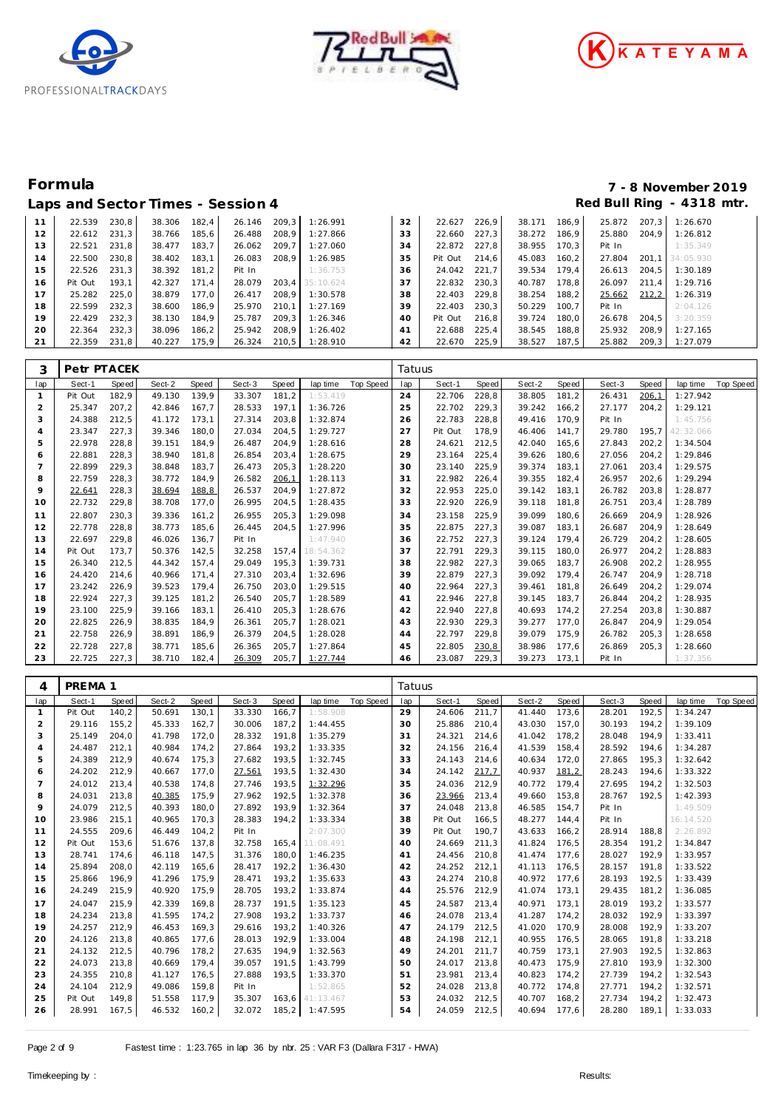





### Laps and Sector Times - Session 4 *Red Bull Ring - 4318 mtr.*

# **Formula 7 - 8 November 2019**

| 11 | 22.539  | 230.8 | 38.306 | 182.4 |        |       | 26.146 209.3 1:26.991 | 32              | 22.627 226,9 |       | 38.171 186,9 |       | 25.872 207.3 |       | 1:26.670        |  |
|----|---------|-------|--------|-------|--------|-------|-----------------------|-----------------|--------------|-------|--------------|-------|--------------|-------|-----------------|--|
| 12 | 22.612  | 231.3 | 38.766 | 185.6 | 26.488 | 208.9 | 1:27.866              | 33              | 22.660       | 227.3 | 38.272       | 186.9 | 25.880       | 204.9 | 1:26.812        |  |
| 13 | 22.521  | 231.8 | 38.477 | 183.7 | 26.062 | 209.7 | 1:27.060              | 34              | 22.872       | 227.8 | 38.955       | 170.3 | Pit In       |       | 1:35.349        |  |
| 14 | 22.500  | 230.8 | 38.402 | 183,1 | 26.083 | 208.9 | 1:26.985              | 35              | Pit Out      | 214.6 | 45.083       | 160.2 | 27.804       |       | 201.1 34:05.930 |  |
| 15 | 22.526  | 231.3 | 38.392 | 181.2 | Pit In |       | 1:36.753              | 36              | 24.042 221,7 |       | 39.534       | 179.4 | 26.613       | 204.5 | 1:30.189        |  |
| 16 | Pit Out | 193.1 | 42.327 | 171.4 | 28.079 |       | 203.4 35:10.624       | 37              | 22.832 230,3 |       | 40.787       | 178.8 | 26.097       | 211.4 | 1:29.716        |  |
| 17 | 25.282  | 225.0 | 38.879 | 177.0 | 26.417 | 208.9 | 1:30.578              | 38              | 22.403       | 229.8 | 38.254       | 188.2 | 25.662       | 212,2 | 1:26.319        |  |
| 18 | 22.599  | 232.3 | 38.600 | 186.9 | 25.970 | 210.1 | 1:27.169              | 39              | 22.403       | 230.3 | 50.229       | 100.7 | Pit In       |       | 2:04.126        |  |
| 19 | 22.429  | 232.3 | 38.130 | 184.9 | 25.787 | 209.3 | 1:26.346              | 40 <sup>°</sup> | Pit Out      | 216.8 | 39.724       | 180.0 | 26.678       | 204.5 | 3:20.359        |  |
| 20 | 22.364  | 232.3 | 38.096 | 186,2 | 25.942 | 208.9 | 1:26.402              | 41              | 22.688       | 225.4 | 38.545       | 188,8 | 25.932       | 208.9 | 1:27.165        |  |
| 21 | 22.359  | 231,8 | 40.227 | 175,9 |        |       | 26.324 210.5 1:28.910 | 42              | 22.670 225,9 |       | 38.527       | 187,5 | 25.882 209,3 |       | 1:27.079        |  |
|    |         |       |        |       |        |       |                       |                 |              |       |              |       |              |       |                 |  |

| 3              | Petr PTACEK |       |        |       |        |       |           |           | Tatuus |         |       |        |       |        |       |           |           |
|----------------|-------------|-------|--------|-------|--------|-------|-----------|-----------|--------|---------|-------|--------|-------|--------|-------|-----------|-----------|
| lap            | Sect-1      | Speed | Sect-2 | Speed | Sect-3 | Speed | lap time  | Top Speed | lap    | Sect-1  | Speed | Sect-2 | Speed | Sect-3 | Speed | lap time  | Top Speed |
|                | Pit Out     | 182,9 | 49.130 | 139,9 | 33.307 | 181,2 | 1:53.419  |           | 24     | 22.706  | 228,8 | 38.805 | 181,2 | 26.431 | 206,1 | 1:27.942  |           |
| $\overline{c}$ | 25.347      | 207,2 | 42.846 | 167,7 | 28.533 | 197,1 | 1:36.726  |           | 25     | 22.702  | 229,3 | 39.242 | 166,2 | 27.177 | 204,2 | 1:29.121  |           |
| 3              | 24.388      | 212,5 | 41.172 | 173,1 | 27.314 | 203,8 | 1:32.874  |           | 26     | 22.783  | 228,8 | 49.416 | 170.9 | Pit In |       | 1:45.756  |           |
| $\overline{4}$ | 23.347      | 227,3 | 39.346 | 180,0 | 27.034 | 204,5 | 1:29.727  |           | 27     | Pit Out | 178,9 | 46.406 | 141,7 | 29.780 | 195.7 | 42:32.066 |           |
| 5              | 22.978      | 228,8 | 39.151 | 184,9 | 26.487 | 204,9 | 1:28.616  |           | 28     | 24.621  | 212,5 | 42.040 | 165,6 | 27.843 | 202,2 | 1:34.504  |           |
| 6              | 22.881      | 228,3 | 38.940 | 181.8 | 26.854 | 203,4 | 1:28.675  |           | 29     | 23.164  | 225,4 | 39.626 | 180,6 | 27.056 | 204,2 | 1:29.846  |           |
|                | 22.899      | 229,3 | 38.848 | 183,7 | 26.473 | 205,3 | 1:28.220  |           | 30     | 23.140  | 225,9 | 39.374 | 183,1 | 27.061 | 203,4 | 1:29.575  |           |
| 8              | 22.759      | 228,3 | 38.772 | 184,9 | 26.582 | 206,1 | 1:28.113  |           | 31     | 22.982  | 226,4 | 39.355 | 182.4 | 26.957 | 202,6 | 1:29.294  |           |
| 9              | 22.641      | 228,3 | 38.694 | 188,8 | 26.537 | 204,9 | 1:27.872  |           | 32     | 22.953  | 225,0 | 39.142 | 183,1 | 26.782 | 203,8 | 1:28.877  |           |
| 10             | 22.732      | 229,8 | 38.708 | 177,0 | 26.995 | 204,5 | 1:28.435  |           | 33     | 22.920  | 226,9 | 39.118 | 181,8 | 26.751 | 203,4 | 1:28.789  |           |
| 11             | 22.807      | 230,3 | 39.336 | 161,2 | 26.955 | 205,3 | 1:29.098  |           | 34     | 23.158  | 225,9 | 39.099 | 180.6 | 26.669 | 204.9 | 1:28.926  |           |
| 12             | 22.778      | 228,8 | 38.773 | 185,6 | 26.445 | 204,5 | 1:27.996  |           | 35     | 22.875  | 227,3 | 39.087 | 183.1 | 26.687 | 204,9 | 1:28.649  |           |
| 13             | 22.697      | 229,8 | 46.026 | 136,7 | Pit In |       | 1:47.940  |           | 36     | 22.752  | 227,3 | 39.124 | 179,4 | 26.729 | 204,2 | 1:28.605  |           |
| 14             | Pit Out     | 173,7 | 50.376 | 142,5 | 32.258 | 157,4 | 18:54.362 |           | 37     | 22.791  | 229,3 | 39.115 | 180.0 | 26.977 | 204,2 | 1:28.883  |           |
| 15             | 26.340      | 212,5 | 44.342 | 157.4 | 29.049 | 195.3 | 1:39.731  |           | 38     | 22.982  | 227,3 | 39.065 | 183.7 | 26.908 | 202,2 | 1:28.955  |           |
| 16             | 24.420      | 214,6 | 40.966 | 171,4 | 27.310 | 203,4 | 1:32.696  |           | 39     | 22.879  | 227,3 | 39.092 | 179,4 | 26.747 | 204,9 | 1:28.718  |           |
| 17             | 23.242      | 226,9 | 39.523 | 179,4 | 26.750 | 203,0 | 1:29.515  |           | 40     | 22.964  | 227,3 | 39.461 | 181.8 | 26.649 | 204,2 | 1:29.074  |           |
| 18             | 22.924      | 227,3 | 39.125 | 181,2 | 26.540 | 205,7 | 1:28.589  |           | 41     | 22.946  | 227,8 | 39.145 | 183,7 | 26.844 | 204,2 | 1:28.935  |           |
| 19             | 23.100      | 225,9 | 39.166 | 183,1 | 26.410 | 205,3 | 1:28.676  |           | 42     | 22.940  | 227,8 | 40.693 | 174,2 | 27.254 | 203,8 | 1:30.887  |           |
| 20             | 22.825      | 226,9 | 38.835 | 184,9 | 26.361 | 205,7 | 1:28.021  |           | 43     | 22.930  | 229,3 | 39.277 | 177,0 | 26.847 | 204,9 | 1:29.054  |           |
| 21             | 22.758      | 226,9 | 38.891 | 186,9 | 26.379 | 204,5 | 1:28.028  |           | 44     | 22.797  | 229,8 | 39.079 | 175,9 | 26.782 | 205,3 | 1:28.658  |           |
| 22             | 22.728      | 227,8 | 38.771 | 185,6 | 26.365 | 205,7 | 1:27.864  |           | 45     | 22.805  | 230,8 | 38.986 | 177,6 | 26.869 | 205,3 | 1:28.660  |           |
| 23             | 22.725      | 227,3 | 38.710 | 182,4 | 26.309 | 205,7 | 1:27.744  |           | 46     | 23.087  | 229,3 | 39.273 | 173,1 | Pit In |       | 1:37.356  |           |

| 4              | PREMA <sub>1</sub> |              |        |       |        |       |           |                  | Tatuus |         |       |        |       |        |              |           |                  |
|----------------|--------------------|--------------|--------|-------|--------|-------|-----------|------------------|--------|---------|-------|--------|-------|--------|--------------|-----------|------------------|
| lap            | Sect-1             | <b>Speed</b> | Sect-2 | Speed | Sect-3 | Speed | lap time  | <b>Top Speed</b> | lap    | Sect-1  | Speed | Sect-2 | Speed | Sect-3 | <b>Speed</b> | lap time  | <b>Top Speed</b> |
| 1              | Pit Out            | 140,2        | 50.691 | 130,1 | 33.330 | 166,7 | 1:58.908  |                  | 29     | 24.606  | 211,7 | 41.440 | 173,6 | 28.201 | 192,5        | 1:34.247  |                  |
| 2              | 29.116             | 155,2        | 45.333 | 162,7 | 30.006 | 187,2 | 1:44.455  |                  | 30     | 25.886  | 210,4 | 43.030 | 157,0 | 30.193 | 194,2        | 1:39.109  |                  |
| 3              | 25.149             | 204,0        | 41.798 | 172,0 | 28.332 | 191,8 | 1:35.279  |                  | 31     | 24.321  | 214,6 | 41.042 | 178,2 | 28.048 | 194,9        | 1:33.411  |                  |
| $\overline{4}$ | 24.487             | 212,1        | 40.984 | 174,2 | 27.864 | 193,2 | 1:33.335  |                  | 32     | 24.156  | 216,4 | 41.539 | 158,4 | 28.592 | 194,6        | 1:34.287  |                  |
| 5              | 24.389             | 212,9        | 40.674 | 175,3 | 27.682 | 193,5 | 1:32.745  |                  | 33     | 24.143  | 214,6 | 40.634 | 172.0 | 27.865 | 195.3        | 1:32.642  |                  |
| 6              | 24.202             | 212,9        | 40.667 | 177,0 | 27.561 | 193,5 | 1:32.430  |                  | 34     | 24.142  | 217,7 | 40.937 | 181,2 | 28.243 | 194,6        | 1:33.322  |                  |
| $\overline{7}$ | 24.012             | 213,4        | 40.538 | 174,8 | 27.746 | 193,5 | 1:32.296  |                  | 35     | 24.036  | 212,9 | 40.772 | 179.4 | 27.695 | 194,2        | 1:32.503  |                  |
| 8              | 24.031             | 213,8        | 40.385 | 175,9 | 27.962 | 192,5 | 1:32.378  |                  | 36     | 23.966  | 213,4 | 49.660 | 153,8 | 28.767 | 192,5        | 1:42.393  |                  |
| 9              | 24.079             | 212,5        | 40.393 | 180,0 | 27.892 | 193,9 | 1:32.364  |                  | 37     | 24.048  | 213,8 | 46.585 | 154,7 | Pit In |              | 1:49.509  |                  |
| 10             | 23.986             | 215,1        | 40.965 | 170.3 | 28.383 | 194,2 | 1:33.334  |                  | 38     | Pit Out | 166,5 | 48.277 | 144.4 | Pit In |              | 16:14.520 |                  |
| 11             | 24.555             | 209,6        | 46.449 | 104,2 | Pit In |       | 2:07.300  |                  | 39     | Pit Out | 190,7 | 43.633 | 166,2 | 28.914 | 188,8        | 2:26.892  |                  |
| 12             | Pit Out            | 153,6        | 51.676 | 137,8 | 32.758 | 165,4 | 11:08.491 |                  | 40     | 24.669  | 211,3 | 41.824 | 176,5 | 28.354 | 191,2        | 1:34.847  |                  |
| 13             | 28.741             | 174,6        | 46.118 | 147,5 | 31.376 | 180,0 | 1:46.235  |                  | 41     | 24.456  | 210,8 | 41.474 | 177,6 | 28.027 | 192,9        | 1:33.957  |                  |
| 14             | 25.894             | 208,0        | 42.119 | 165,6 | 28.417 | 192,2 | 1:36.430  |                  | 42     | 24.252  | 212,1 | 41.113 | 176.5 | 28.157 | 191,8        | 1:33.522  |                  |
| 15             | 25.866             | 196,9        | 41.296 | 175,9 | 28.471 | 193,2 | 1:35.633  |                  | 43     | 24.274  | 210,8 | 40.972 | 177,6 | 28.193 | 192,5        | 1:33.439  |                  |
| 16             | 24.249             | 215,9        | 40.920 | 175,9 | 28.705 | 193,2 | 1:33.874  |                  | 44     | 25.576  | 212,9 | 41.074 | 173,1 | 29.435 | 181,2        | 1:36.085  |                  |
| 17             | 24.047             | 215,9        | 42.339 | 169.8 | 28.737 | 191.5 | 1:35.123  |                  | 45     | 24.587  | 213,4 | 40.971 | 173.1 | 28.019 | 193,2        | 1:33.577  |                  |
| 18             | 24.234             | 213,8        | 41.595 | 174,2 | 27.908 | 193,2 | 1:33.737  |                  | 46     | 24.078  | 213,4 | 41.287 | 174,2 | 28.032 | 192,9        | 1:33.397  |                  |
| 19             | 24.257             | 212,9        | 46.453 | 169.3 | 29.616 | 193,2 | 1:40.326  |                  | 47     | 24.179  | 212,5 | 41.020 | 170.9 | 28.008 | 192.9        | 1:33.207  |                  |
| 20             | 24.126             | 213,8        | 40.865 | 177.6 | 28.013 | 192,9 | 1:33.004  |                  | 48     | 24.198  | 212,1 | 40.955 | 176.5 | 28.065 | 191.8        | 1:33.218  |                  |
| 21             | 24.132             | 212,5        | 40.796 | 178,2 | 27.635 | 194,9 | 1:32.563  |                  | 49     | 24.201  | 211,7 | 40.759 | 173.1 | 27.903 | 192,5        | 1:32.863  |                  |
| 22             | 24.073             | 213,8        | 40.669 | 179,4 | 39.057 | 191,5 | 1:43.799  |                  | 50     | 24.017  | 213,8 | 40.473 | 175.9 | 27.810 | 193,9        | 1:32.300  |                  |
| 23             | 24.355             | 210,8        | 41.127 | 176,5 | 27.888 | 193.5 | 1:33.370  |                  | 51     | 23.981  | 213,4 | 40.823 | 174,2 | 27.739 | 194,2        | 1:32.543  |                  |
| 24             | 24.104             | 212,9        | 49.086 | 159,8 | Pit In |       | 1:52.865  |                  | 52     | 24.028  | 213,8 | 40.772 | 174.8 | 27.771 | 194,2        | 1:32.571  |                  |
| 25             | Pit Out            | 149,8        | 51.558 | 117,9 | 35.307 | 163,6 | 41:13.467 |                  | 53     | 24.032  | 212,5 | 40.707 | 168,2 | 27.734 | 194,2        | 1:32.473  |                  |
| 26             | 28.991             | 167,5        | 46.532 | 160,2 | 32.072 | 185,2 | 1:47.595  |                  | 54     | 24.059  | 212,5 | 40.694 | 177,6 | 28.280 | 189,1        | 1:33.033  |                  |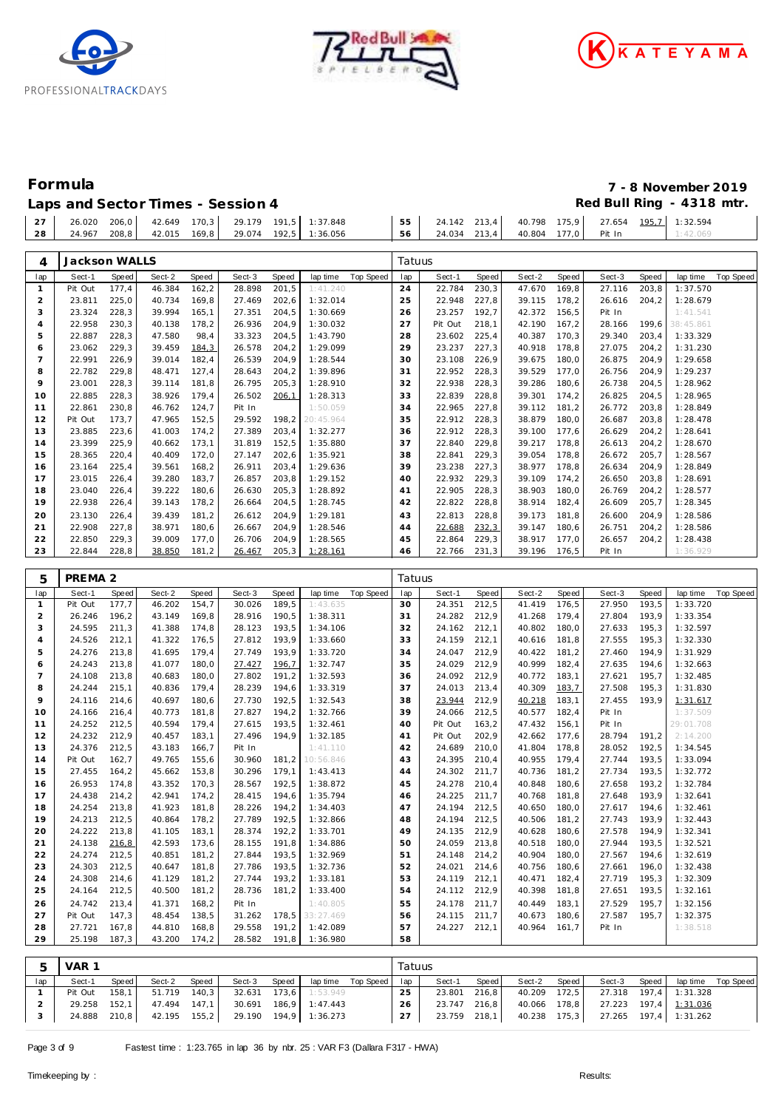





## **Formula 7 - 8 November 2019** Laps and Sector Times - Session 4 *Red Bull Ring - 4318 mtr.* **Red Bull Ring - 4318 mtr.**

|  |  |  |  | 56 24.034 213.4 40.804 177.0 Pit In |  |  | 1:42.069 |  |
|--|--|--|--|-------------------------------------|--|--|----------|--|

| 4                   | Jackson WALLS    |                |                  |                |                  |                |                      |           | Tatuus   |                   |                |                  |                |                  |                |                       |           |
|---------------------|------------------|----------------|------------------|----------------|------------------|----------------|----------------------|-----------|----------|-------------------|----------------|------------------|----------------|------------------|----------------|-----------------------|-----------|
| lap                 | Sect-1           | Speed          | Sect-2           | Speed          | Sect-3           | Speed          | lap time             | Top Speed | lap      | Sect-1            | Speed          | Sect-2           | Speed          | Sect-3           | Speed          | lap time              | Top Speed |
| $\mathbf{1}$        | Pit Out          | 177,4          | 46.384           | 162, 2         | 28.898           | 201,5          | 1:41.240             |           | 24       | 22.784            | 230,3          | 47.670           | 169,8          | 27.116           | 203,8          | 1:37.570              |           |
| $\mathbf 2$         | 23.811           | 225,0          | 40.734           | 169,8          | 27.469           | 202,6          | 1:32.014             |           | 25       | 22.948            | 227,8          | 39.115           | 178,2          | 26.616           | 204,2          | 1:28.679              |           |
| 3                   | 23.324           | 228,3          | 39.994           | 165,1          | 27.351           | 204,5          | 1:30.669             |           | 26       | 23.257            | 192,7          | 42.372           | 156,5          | Pit In           |                | 1:41.541              |           |
| $\overline{4}$<br>5 | 22.958<br>22.887 | 230,3<br>228,3 | 40.138<br>47.580 | 178,2<br>98,4  | 26.936<br>33.323 | 204,9<br>204,5 | 1:30.032<br>1:43.790 |           | 27<br>28 | Pit Out<br>23.602 | 218,1<br>225,4 | 42.190<br>40.387 | 167,2<br>170,3 | 28.166<br>29.340 | 199,6<br>203,4 | 38:45.861<br>1:33.329 |           |
| 6                   | 23.062           | 229,3          | 39.459           | 184,3          | 26.578           | 204,2          | 1:29.099             |           | 29       | 23.237            | 227,3          | 40.918           | 178,8          | 27.075           | 204,2          | 1:31.230              |           |
| $\overline{7}$      | 22.991           | 226,9          | 39.014           | 182,4          | 26.539           | 204,9          | 1:28.544             |           | 30       | 23.108            | 226,9          | 39.675           | 180,0          | 26.875           | 204,9          | 1:29.658              |           |
| 8                   | 22.782           | 229,8          | 48.471           | 127,4          | 28.643           | 204,2          | 1:39.896             |           | 31       | 22.952            | 228,3          | 39.529           | 177,0          | 26.756           | 204,9          | 1:29.237              |           |
| 9                   | 23.001           | 228,3          | 39.114           | 181,8          | 26.795           | 205,3          | 1:28.910             |           | 32       | 22.938            | 228,3          | 39.286           | 180,6          | 26.738           | 204,5          | 1:28.962              |           |
| 10                  | 22.885           | 228,3          | 38.926           | 179,4          | 26.502           | 206,1          | 1:28.313             |           | 33       | 22.839            | 228,8          | 39.301           | 174,2          | 26.825           | 204,5          | 1:28.965              |           |
| 11                  | 22.861           | 230,8          | 46.762           | 124,7          | Pit In           |                | 1:50.059             |           | 34       | 22.965            | 227,8          | 39.112           | 181,2          | 26.772           | 203,8          | 1:28.849              |           |
| 12                  | Pit Out          | 173,7          | 47.965           | 152,5          | 29.592           | 198,2          | 20:45.964            |           | 35       | 22.912            | 228,3          | 38.879           | 180,0          | 26.687           | 203,8          | 1:28.478              |           |
| 13                  | 23.885           | 223,6          | 41.003           | 174,2          | 27.389           | 203,4          | 1:32.277             |           | 36       | 22.912            | 228,3          | 39.100           | 177,6          | 26.629           | 204,2          | 1:28.641              |           |
| 14                  | 23.399           | 225,9          | 40.662           | 173,1          | 31.819           | 152,5          | 1:35.880             |           | 37       | 22.840            | 229,8          | 39.217           | 178,8          | 26.613           | 204,2          | 1:28.670              |           |
| 15                  | 28.365           | 220,4          | 40.409           | 172,0          | 27.147           | 202,6          | 1:35.921             |           | 38       | 22.841            | 229,3          | 39.054           | 178,8          | 26.672           | 205,7          | 1:28.567              |           |
| 16                  | 23.164           | 225,4          | 39.561           | 168,2          | 26.911           | 203,4          | 1:29.636             |           | 39       | 23.238            | 227,3          | 38.977           | 178,8          | 26.634           | 204,9          | 1:28.849              |           |
| 17                  | 23.015           | 226,4          | 39.280           | 183,7          | 26.857           | 203,8          | 1:29.152             |           | 40       | 22.932            | 229,3          | 39.109           | 174,2          | 26.650           | 203,8          | 1:28.691              |           |
| 18<br>19            | 23.040<br>22.938 | 226,4<br>226,4 | 39.222<br>39.143 | 180,6<br>178,2 | 26.630<br>26.664 | 205,3<br>204,5 | 1:28.892<br>1:28.745 |           | 41<br>42 | 22.905<br>22.822  | 228,3<br>228,8 | 38.903<br>38.914 | 180,0<br>182,4 | 26.769<br>26.609 | 204,2<br>205,7 | 1:28.577<br>1:28.345  |           |
| 20                  | 23.130           | 226,4          | 39.439           | 181,2          | 26.612           | 204,9          | 1:29.181             |           | 43       | 22.813            | 228,8          | 39.173           | 181,8          | 26.600           | 204,9          | 1:28.586              |           |
| 21                  | 22.908           | 227,8          | 38.971           | 180,6          | 26.667           | 204,9          | 1:28.546             |           | 44       | 22.688            | 232,3          | 39.147           | 180,6          | 26.751           | 204,2          | 1:28.586              |           |
| 22                  | 22.850           | 229,3          | 39.009           | 177,0          | 26.706           | 204,9          | 1:28.565             |           | 45       | 22.864            | 229,3          | 38.917           | 177,0          | 26.657           | 204,2          | 1:28.438              |           |
| 23                  | 22.844           | 228,8          | 38.850           | 181,2          | 26.467           | 205,3          | 1:28.161             |           | 46       | 22.766            | 231,3          | 39.196           | 176,5          | Pit In           |                | 1:36.929              |           |
|                     |                  |                |                  |                |                  |                |                      |           |          |                   |                |                  |                |                  |                |                       |           |
| 5                   | PREMA 2          |                |                  |                |                  |                |                      |           | Tatuus   |                   |                |                  |                |                  |                |                       |           |
| lap                 | Sect-1           | Speed          | Sect-2           | Speed          | Sect-3           | Speed          | lap time             | Top Speed | lap      | Sect-1            | Speed          | Sect-2           | Speed          | Sect-3           | Speed          | lap time              | Top Speed |
| $\mathbf{1}$        | Pit Out          | 177,7          | 46.202           | 154,7          | 30.026           | 189,5          | 1:43.635             |           | 30       | 24.351            | 212,5          | 41.419           | 176,5          | 27.950           | 193,5          | 1:33.720              |           |
| $\overline{2}$      | 26.246           | 196,2          | 43.149           | 169,8          | 28.916           | 190,5          | 1:38.311             |           | 31       | 24.282            | 212,9          | 41.268           | 179,4          | 27.804           | 193,9          | 1:33.354              |           |
| 3                   | 24.595           | 211,3          | 41.388           | 174,8          | 28.123           | 193,5          | 1:34.106             |           | 32       | 24.162            | 212,1          | 40.802           | 180,0          | 27.633           | 195,3          | 1:32.597              |           |
| $\overline{4}$      | 24.526           | 212,1          | 41.322           | 176,5          | 27.812           | 193,9          | 1:33.660             |           | 33       | 24.159            | 212,1          | 40.616           | 181,8          | 27.555           | 195,3          | 1:32.330              |           |
| 5<br>6              | 24.276<br>24.243 | 213,8<br>213,8 | 41.695<br>41.077 | 179,4<br>180,0 | 27.749<br>27.427 | 193,9<br>196,7 | 1:33.720<br>1:32.747 |           | 34<br>35 | 24.047<br>24.029  | 212,9<br>212,9 | 40.422<br>40.999 | 181,2<br>182,4 | 27.460<br>27.635 | 194,9<br>194,6 | 1:31.929<br>1:32.663  |           |
| $\overline{7}$      | 24.108           | 213,8          | 40.683           | 180,0          | 27.802           | 191,2          | 1:32.593             |           | 36       | 24.092            | 212,9          | 40.772           | 183,1          | 27.621           | 195,7          | 1:32.485              |           |
| 8                   | 24.244           | 215,1          | 40.836           | 179,4          | 28.239           | 194,6          | 1:33.319             |           | 37       | 24.013            | 213,4          | 40.309           | 183,7          | 27.508           | 195,3          | 1:31.830              |           |
| 9                   | 24.116           | 214,6          | 40.697           | 180,6          | 27.730           | 192,5          | 1:32.543             |           | 38       | 23.944            | 212,9          | 40.218           | 183,1          | 27.455           | 193,9          | 1:31.617              |           |
| 10                  | 24.166           | 216,4          | 40.773           | 181,8          | 27.827           | 194,2          | 1:32.766             |           | 39       | 24.066            | 212,5          | 40.577           | 182,4          | Pit In           |                | 1:37.509              |           |
| 11                  | 24.252           | 212,5          | 40.594           | 179,4          | 27.615           | 193,5          | 1:32.461             |           | 40       | Pit Out           | 163,2          | 47.432           | 156,1          | Pit In           |                | 29:01.708             |           |
| 12                  | 24.232           | 212,9          | 40.457           | 183,1          | 27.496           | 194,9          | 1:32.185             |           | 41       | Pit Out           | 202,9          | 42.662           | 177,6          | 28.794           | 191,2          | 2:14.200              |           |
| 13                  | 24.376           | 212,5          | 43.183           | 166,7          | Pit In           |                | 1:41.110             |           | 42       | 24.689            | 210,0          | 41.804           | 178,8          | 28.052           | 192,5          | 1:34.545              |           |
| 14                  | Pit Out          | 162,7          | 49.765           | 155,6          | 30.960           | 181,2          | 10:56.846            |           | 43       | 24.395            | 210,4          | 40.955           | 179,4          | 27.744           | 193,5          | 1:33.094              |           |
| 15                  | 27.455           | 164,2          | 45.662           | 153,8          | 30.296           | 179,1          | 1:43.413             |           | 44       | 24.302            | 211,7          | 40.736           | 181,2          | 27.734           | 193,5          | 1:32.772              |           |
| 16                  | 26.953           | 174,8          | 43.352           | 170,3          | 28.567           | 192,5          | 1:38.872             |           | 45       | 24.278            | 210,4          | 40.848           | 180,6          | 27.658           | 193,2          | 1:32.784              |           |
| 17                  | 24.438           | 214,2          | 42.941           | 174,2          | 28.415           | 194,6          | 1:35.794             |           | 46       | 24.225            | 211,7          | 40.768           | 181,8          | 27.648           | 193,9          | 1:32.641              |           |
| 18<br>19            | 24.254           | 213,8<br>212,5 | 41.923           | 181,8          | 28.226<br>27.789 | 194,2<br>192,5 | 1:34.403             |           | 47<br>48 | 24.194            | 212,5          | 40.650           | 180,0          | 27.617           | 194,6          | 1:32.461              |           |
| 20                  | 24.213<br>24.222 | 213,8          | 40.864<br>41.105 | 178,2<br>183,1 | 28.374           | 192,2          | 1:32.866<br>1:33.701 |           | 49       | 24.194<br>24.135  | 212,5<br>212,9 | 40.506<br>40.628 | 181,2<br>180,6 | 27.743<br>27.578 | 193,9<br>194,9 | 1:32.443<br>1:32.341  |           |
| 21                  | 24.138           | <u>216,8</u>   | 42.593           | 173,6          | 28.155           | 191,8          | 1:34.886             |           | 50       | 24.059 213,8      |                | 40.518 180,0     |                |                  | 27.944 193,5   | 1:32.521              |           |
| 22                  | 24.274           | 212,5          | 40.851           | 181,2          | 27.844           | 193,5          | 1:32.969             |           | 51       | 24.148 214,2      |                | 40.904 180,0     |                | 27.567           | 194,6          | 1:32.619              |           |
| 23                  | 24.303           | 212,5          | 40.647           | 181,8          | 27.786           | 193,5          | 1:32.736             |           | 52       | 24.021            | 214,6          | 40.756 180,6     |                | 27.661           | 196,0          | 1:32.438              |           |
| 24                  | 24.308           | 214,6          | 41.129           | 181,2          | 27.744           | 193,2          | 1:33.181             |           | 53       | 24.119 212,1      |                | 40.471 182,4     |                | 27.719           | 195,3          | 1:32.309              |           |
| 25                  | 24.164           | 212,5          | 40.500           | 181,2          | 28.736           | 181,2          | 1:33.400             |           | 54       | 24.112 212,9      |                | 40.398 181,8     |                | 27.651           | 193,5          | 1:32.161              |           |
| 26                  | 24.742           | 213,4          | 41.371           | 168,2          | Pit In           |                | 1:40.805             |           | 55       | 24.178 211,7      |                | 40.449 183,1     |                | 27.529           | 195,7          | 1:32.156              |           |
| 27                  | Pit Out          | 147,3          | 48.454           | 138,5          | 31.262           | 178,5          | 33:27.469            |           | 56       | 24.115 211,7      |                | 40.673 180,6     |                | 27.587           | 195,7          | 1:32.375              |           |
| 28                  | 27.721           | 167,8          | 44.810           | 168,8          | 29.558           | 191,2          | 1:42.089             |           | 57       | 24.227 212,1      |                | 40.964 161,7     |                | Pit In           |                | 1:38.518              |           |
| 29                  | 25.198           | 187,3          | 43.200           | 174,2          | 28.582           | 191,8          | 1:36.980             |           | 58       |                   |                |                  |                |                  |                |                       |           |
|                     |                  |                |                  |                |                  |                |                      |           |          |                   |                |                  |                |                  |                |                       |           |
| 5                   | VAR 1            |                |                  |                |                  |                |                      |           | Tatuus   |                   |                |                  |                |                  |                |                       |           |

|     | VAR 1   |       |              |         |                       |              |                |                    | Tatuus |              |       |              |       |                                    |       |                         |           |
|-----|---------|-------|--------------|---------|-----------------------|--------------|----------------|--------------------|--------|--------------|-------|--------------|-------|------------------------------------|-------|-------------------------|-----------|
| lap | Sect-1  | Speed | Sect-2       | Speed   | Sect-3                | <b>Speed</b> |                | lap time Top Speed | lap    | Sect-1       | Speed | Sect-2       | Speed | Sect-3                             | Speed | lap time                | Top Speed |
|     | Pit Out | 158.1 | 51.719       | $140.3$ | 32.631 173.6          |              | 1:53.949       |                    | 25     | 23.801       | 216.8 | 40.209 172,5 |       |                                    |       | 27.318  197.4  1:31.328 |           |
|     | 29.258  | 152.1 | 47.494 147.1 |         | 30.691                |              | 186.9 1:47.443 |                    | 26     | 23.747 216.8 |       | 40.066 178,8 |       |                                    |       | 27.223 197.4 1:31.036   |           |
|     | 24.888  | 210,8 | 42.195 155,2 |         | 29.190 194.9 1:36.273 |              |                |                    | 27     | 23.759 218.1 |       |              |       | 40.238 175,3 27.265 197,4 1:31.262 |       |                         |           |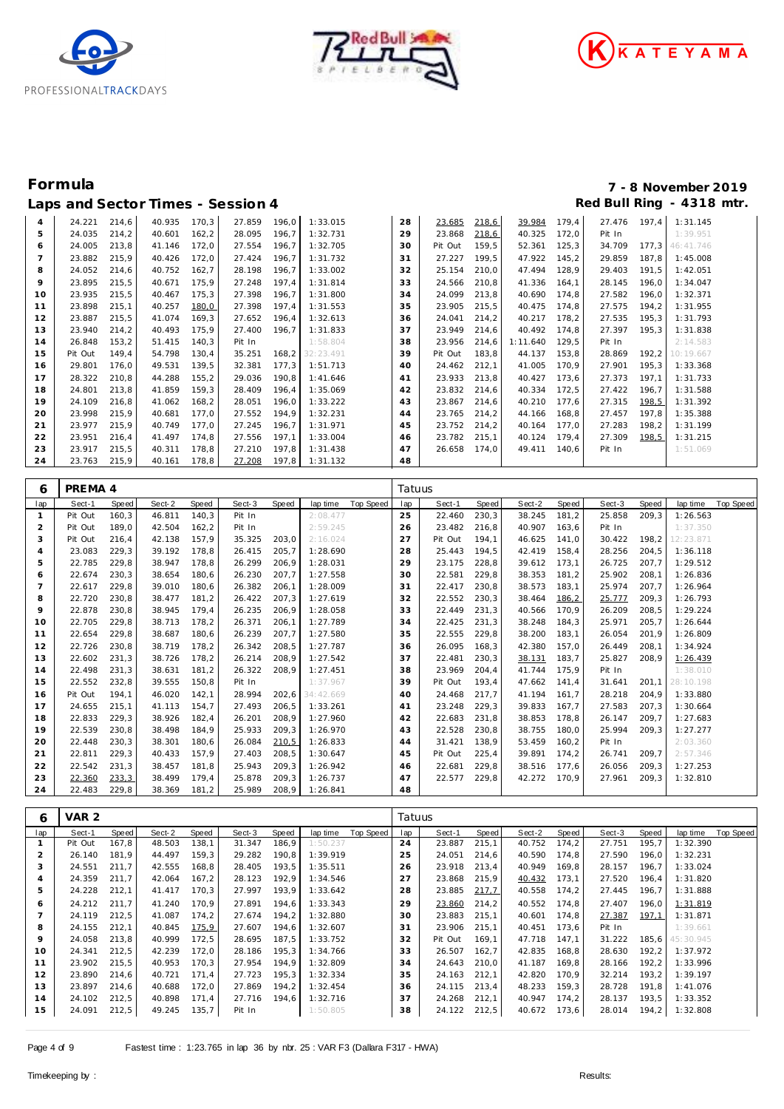





| $\overline{a}$ | 24.221  | 214,6 | 40.935 | 170,3  | 27.859 | 196,0 | 1:33.015        | 28 | 23.685  | 218,6 | 39.984   | 179,4 | 27.476 | 197,4 | 1:31.145  |
|----------------|---------|-------|--------|--------|--------|-------|-----------------|----|---------|-------|----------|-------|--------|-------|-----------|
| 5              | 24.035  | 214,2 | 40.601 | 162,2  | 28.095 | 196,7 | 1:32.731        | 29 | 23.868  | 218,6 | 40.325   | 172,0 | Pit In |       | 1:39.951  |
| 6              | 24.005  | 213,8 | 41.146 | 172,0  | 27.554 | 196,7 | 1:32.705        | 30 | Pit Out | 159,5 | 52.361   | 125,3 | 34.709 | 177,3 | 46:41.746 |
|                | 23.882  | 215,9 | 40.426 | 172,0  | 27.424 | 196,7 | 1:31.732        | 31 | 27.227  | 199,5 | 47.922   | 145,2 | 29.859 | 187,8 | 1:45.008  |
| 8              | 24.052  | 214,6 | 40.752 | 162,7  | 28.198 | 196,7 | 1:33.002        | 32 | 25.154  | 210,0 | 47.494   | 128,9 | 29.403 | 191,5 | 1:42.051  |
| 9              | 23.895  | 215,5 | 40.671 | 175,9  | 27.248 | 197,4 | 1:31.814        | 33 | 24.566  | 210,8 | 41.336   | 164,1 | 28.145 | 196,0 | 1:34.047  |
| 10             | 23.935  | 215,5 | 40.467 | 175,3  | 27.398 | 196,7 | 1:31.800        | 34 | 24.099  | 213,8 | 40.690   | 174,8 | 27.582 | 196,0 | 1:32.371  |
| 11             | 23.898  | 215,1 | 40.257 | 180,0  | 27.398 | 197,4 | 1:31.553        | 35 | 23.905  | 215,5 | 40.475   | 174,8 | 27.575 | 194,2 | 1:31.955  |
| 12             | 23.887  | 215,5 | 41.074 | 169,3  | 27.652 | 196,4 | 1:32.613        | 36 | 24.041  | 214,2 | 40.217   | 178,2 | 27.535 | 195,3 | 1:31.793  |
| 13             | 23.940  | 214,2 | 40.493 | 175,9  | 27.400 | 196,7 | 1:31.833        | 37 | 23.949  | 214,6 | 40.492   | 174,8 | 27.397 | 195,3 | 1:31.838  |
| 14             | 26.848  | 153,2 | 51.415 | 140,3  | Pit In |       | 1:58.804        | 38 | 23.956  | 214,6 | 1:11.640 | 129,5 | Pit In |       | 2:14.583  |
| 15             | Pit Out | 149,4 | 54.798 | 130,4  | 35.251 |       | 168,2 32:23.491 | 39 | Pit Out | 183,8 | 44.137   | 153,8 | 28.869 | 192,2 | 10:19.667 |
| 16             | 29.801  | 176,0 | 49.531 | 139,5  | 32.381 | 177,3 | 1:51.713        | 40 | 24.462  | 212,1 | 41.005   | 170,9 | 27.901 | 195,3 | 1:33.368  |
| 17             | 28.322  | 210,8 | 44.288 | 155, 2 | 29.036 | 190,8 | 1:41.646        | 41 | 23.933  | 213,8 | 40.427   | 173,6 | 27.373 | 197,1 | 1:31.733  |
| 18             | 24.801  | 213,8 | 41.859 | 159,3  | 28.409 | 196,4 | 1:35.069        | 42 | 23.832  | 214,6 | 40.334   | 172,5 | 27.422 | 196,7 | 1:31.588  |
| 19             | 24.109  | 216,8 | 41.062 | 168,2  | 28.051 | 196,0 | 1:33.222        | 43 | 23.867  | 214,6 | 40.210   | 177,6 | 27.315 | 198,5 | 1:31.392  |
| 20             | 23.998  | 215,9 | 40.681 | 177,0  | 27.552 | 194,9 | 1:32.231        | 44 | 23.765  | 214,2 | 44.166   | 168,8 | 27.457 | 197,8 | 1:35.388  |
| 21             | 23.977  | 215,9 | 40.749 | 177,0  | 27.245 | 196,7 | 1:31.971        | 45 | 23.752  | 214,2 | 40.164   | 177,0 | 27.283 | 198,2 | 1:31.199  |
| 22             | 23.951  | 216,4 | 41.497 | 174,8  | 27.556 | 197,1 | 1:33.004        | 46 | 23.782  | 215,1 | 40.124   | 179,4 | 27.309 | 198,5 | 1:31.215  |
| 23             | 23.917  | 215,5 | 40.311 | 178,8  | 27.210 | 197,8 | 1:31.438        | 47 | 26.658  | 174.0 | 49.411   | 140,6 | Pit In |       | 1:51.069  |
| 24             | 23.763  | 215,9 | 40.161 | 178,8  | 27.208 | 197,8 | 1:31.132        | 48 |         |       |          |       |        |       |           |

| 6            | PREMA 4 |       |        |       |        |       |           |           | Tatuus |         |       |        |       |        |       |           |           |
|--------------|---------|-------|--------|-------|--------|-------|-----------|-----------|--------|---------|-------|--------|-------|--------|-------|-----------|-----------|
| lap          | Sect-1  | Speed | Sect-2 | Speed | Sect-3 | Speed | lap time  | Top Speed | lap    | Sect-1  | Speed | Sect-2 | Speed | Sect-3 | Speed | lap time  | Top Speed |
| $\mathbf{1}$ | Pit Out | 160,3 | 46.811 | 140,3 | Pit In |       | 2:08.477  |           | 25     | 22.460  | 230,3 | 38.245 | 181,2 | 25.858 | 209,3 | 1:26.563  |           |
| 2            | Pit Out | 189.0 | 42.504 | 162,2 | Pit In |       | 2:59.245  |           | 26     | 23.482  | 216.8 | 40.907 | 163.6 | Pit In |       | 1:37.350  |           |
| 3            | Pit Out | 216,4 | 42.138 | 157,9 | 35.325 | 203,0 | 2:16.024  |           | 27     | Pit Out | 194.1 | 46.625 | 141.0 | 30.422 | 198,2 | 12:23.871 |           |
| 4            | 23.083  | 229,3 | 39.192 | 178,8 | 26.415 | 205,7 | 1:28.690  |           | 28     | 25.443  | 194,5 | 42.419 | 158,4 | 28.256 | 204,5 | 1:36.118  |           |
| 5            | 22.785  | 229,8 | 38.947 | 178,8 | 26.299 | 206,9 | 1:28.031  |           | 29     | 23.175  | 228,8 | 39.612 | 173,1 | 26.725 | 207,7 | 1:29.512  |           |
| 6            | 22.674  | 230,3 | 38.654 | 180,6 | 26.230 | 207,7 | 1:27.558  |           | 30     | 22.581  | 229,8 | 38.353 | 181,2 | 25.902 | 208,1 | 1:26.836  |           |
| 7            | 22.617  | 229,8 | 39.010 | 180,6 | 26.382 | 206,1 | 1:28.009  |           | 31     | 22.417  | 230,8 | 38.573 | 183.1 | 25.974 | 207.7 | 1:26.964  |           |
| 8            | 22.720  | 230,8 | 38.477 | 181,2 | 26.422 | 207,3 | 1:27.619  |           | 32     | 22.552  | 230,3 | 38.464 | 186,2 | 25.777 | 209.3 | 1:26.793  |           |
| 9            | 22.878  | 230,8 | 38.945 | 179,4 | 26.235 | 206,9 | 1:28.058  |           | 33     | 22.449  | 231,3 | 40.566 | 170.9 | 26.209 | 208,5 | 1:29.224  |           |
| 10           | 22.705  | 229,8 | 38.713 | 178,2 | 26.371 | 206,1 | 1:27.789  |           | 34     | 22.425  | 231,3 | 38.248 | 184,3 | 25.971 | 205,7 | 1:26.644  |           |
| 11           | 22.654  | 229,8 | 38.687 | 180,6 | 26.239 | 207,7 | 1:27.580  |           | 35     | 22.555  | 229,8 | 38.200 | 183,1 | 26.054 | 201,9 | 1:26.809  |           |
| 12           | 22.726  | 230,8 | 38.719 | 178,2 | 26.342 | 208,5 | 1:27.787  |           | 36     | 26.095  | 168,3 | 42.380 | 157,0 | 26.449 | 208,1 | 1:34.924  |           |
| 13           | 22.602  | 231.3 | 38.726 | 178,2 | 26.214 | 208.9 | 1:27.542  |           | 37     | 22.481  | 230,3 | 38.131 | 183.7 | 25.827 | 208.9 | 1:26.439  |           |
| 14           | 22.498  | 231,3 | 38.631 | 181,2 | 26.322 | 208.9 | 1:27.451  |           | 38     | 23.969  | 204.4 | 41.744 | 175.9 | Pit In |       | 1:38.010  |           |
| 15           | 22.552  | 232,8 | 39.555 | 150,8 | Pit In |       | 1:37.967  |           | 39     | Pit Out | 193,4 | 47.662 | 141,4 | 31.641 | 201.1 | 28:10.198 |           |
| 16           | Pit Out | 194.1 | 46.020 | 142,1 | 28.994 | 202,6 | 34:42.669 |           | 40     | 24.468  | 217,7 | 41.194 | 161,7 | 28.218 | 204,9 | 1:33.880  |           |
| 17           | 24.655  | 215,1 | 41.113 | 154,7 | 27.493 | 206,5 | 1:33.261  |           | 41     | 23.248  | 229,3 | 39.833 | 167,7 | 27.583 | 207,3 | 1:30.664  |           |
| 18           | 22.833  | 229,3 | 38.926 | 182,4 | 26.201 | 208,9 | 1:27.960  |           | 42     | 22.683  | 231,8 | 38.853 | 178.8 | 26.147 | 209.7 | 1:27.683  |           |
| 19           | 22.539  | 230,8 | 38.498 | 184,9 | 25.933 | 209,3 | 1:26.970  |           | 43     | 22.528  | 230,8 | 38.755 | 180.0 | 25.994 | 209.3 | 1:27.277  |           |
| 20           | 22.448  | 230,3 | 38.301 | 180,6 | 26.084 | 210,5 | 1:26.833  |           | 44     | 31.421  | 138,9 | 53.459 | 160,2 | Pit In |       | 2:03.360  |           |
| 21           | 22.811  | 229,3 | 40.433 | 157,9 | 27.403 | 208,5 | 1:30.647  |           | 45     | Pit Out | 225,4 | 39.891 | 174,2 | 26.741 | 209,7 | 2:57.346  |           |
| 22           | 22.542  | 231,3 | 38.457 | 181,8 | 25.943 | 209,3 | 1:26.942  |           | 46     | 22.681  | 229,8 | 38.516 | 177,6 | 26.056 | 209,3 | 1:27.253  |           |
| 23           | 22.360  | 233,3 | 38.499 | 179,4 | 25.878 | 209.3 | 1:26.737  |           | 47     | 22.577  | 229,8 | 42.272 | 170.9 | 27.961 | 209,3 | 1:32.810  |           |
| 24           | 22.483  | 229.8 | 38.369 | 181,2 | 25.989 | 208.9 | 1:26.841  |           | 48     |         |       |        |       |        |       |           |           |

| 6   | VAR <sub>2</sub> |       |        |       |        |       |          |           | Tatuus |         |       |        |       |        |       |                 |                  |
|-----|------------------|-------|--------|-------|--------|-------|----------|-----------|--------|---------|-------|--------|-------|--------|-------|-----------------|------------------|
| lap | Sect-1           | Speed | Sect-2 | Speed | Sect-3 | Speed | lap time | Top Speed | lap    | Sect-1  | Speed | Sect-2 | Speed | Sect-3 | Speed | lap time        | <b>Top Speed</b> |
|     | Pit Out          | 167,8 | 48.503 | 138,1 | 31.347 | 186,9 | 1:50.237 |           | 24     | 23.887  | 215,1 | 40.752 | 174,2 | 27.751 | 195,7 | 1:32.390        |                  |
|     | 26.140           | 181,9 | 44.497 | 159,3 | 29.282 | 190.8 | 1:39.919 |           | 25     | 24.051  | 214,6 | 40.590 | 174.8 | 27.590 | 196.0 | 1:32.231        |                  |
| 3   | 24.551           | 211.7 | 42.555 | 168,8 | 28.405 | 193,5 | 1:35.511 |           | 26     | 23.918  | 213,4 | 40.949 | 169.8 | 28.157 | 196.7 | 1:33.024        |                  |
| 4   | 24.359           | 211.7 | 42.064 | 167,2 | 28.123 | 192,9 | 1:34.546 |           | 27     | 23.868  | 215,9 | 40.432 | 173,1 | 27.520 | 196,4 | 1:31.820        |                  |
| 5   | 24.228           | 212,1 | 41.417 | 170,3 | 27.997 | 193,9 | 1:33.642 |           | 28     | 23.885  | 217,7 | 40.558 | 174,2 | 27.445 | 196,7 | 1:31.888        |                  |
| 6   | 24.212           | 211.7 | 41.240 | 170,9 | 27.891 | 194,6 | 1:33.343 |           | 29     | 23.860  | 214,2 | 40.552 | 174.8 | 27.407 | 196,0 | 1:31.819        |                  |
|     | 24.119           | 212,5 | 41.087 | 174,2 | 27.674 | 194,2 | 1:32.880 |           | 30     | 23.883  | 215,1 | 40.601 | 174,8 | 27.387 | 197,1 | 1:31.871        |                  |
| 8   | 24.155           | 212,1 | 40.845 | 175,9 | 27.607 | 194,6 | 1:32.607 |           | 31     | 23.906  | 215,1 | 40.451 | 173,6 | Pit In |       | 1:39.661        |                  |
| 9   | 24.058           | 213,8 | 40.999 | 172,5 | 28.695 | 187,5 | 1:33.752 |           | 32     | Pit Out | 169.1 | 47.718 | 147,1 | 31.222 |       | 185,6 45:30.945 |                  |
| 10  | 24.341           | 212,5 | 42.239 | 172,0 | 28.186 | 195,3 | 1:34.766 |           | 33     | 26.507  | 162,7 | 42.835 | 168,8 | 28.630 | 192,2 | 1:37.972        |                  |
| 11  | 23.902           | 215,5 | 40.953 | 170,3 | 27.954 | 194,9 | 1:32.809 |           | 34     | 24.643  | 210,0 | 41.187 | 169,8 | 28.166 | 192,2 | 1:33.996        |                  |
| 12  | 23.890           | 214,6 | 40.721 | 171.4 | 27.723 | 195,3 | 1:32.334 |           | 35     | 24.163  | 212,1 | 42.820 | 170,9 | 32.214 | 193,2 | 1:39.197        |                  |
| 13  | 23.897           | 214,6 | 40.688 | 172,0 | 27.869 | 194,2 | 1:32.454 |           | 36     | 24.115  | 213,4 | 48.233 | 159,3 | 28.728 | 191,8 | 1:41.076        |                  |
| 14  | 24.102           | 212,5 | 40.898 | 171,4 | 27.716 | 194,6 | 1:32.716 |           | 37     | 24.268  | 212,1 | 40.947 | 174,2 | 28.137 | 193,5 | 1:33.352        |                  |
| 15  | 24.091           | 212,5 | 49.245 | 135,7 | Pit In |       | 1:50.805 |           | 38     | 24.122  | 212,5 | 40.672 | 173,6 | 28.014 | 194,2 | 1:32.808        |                  |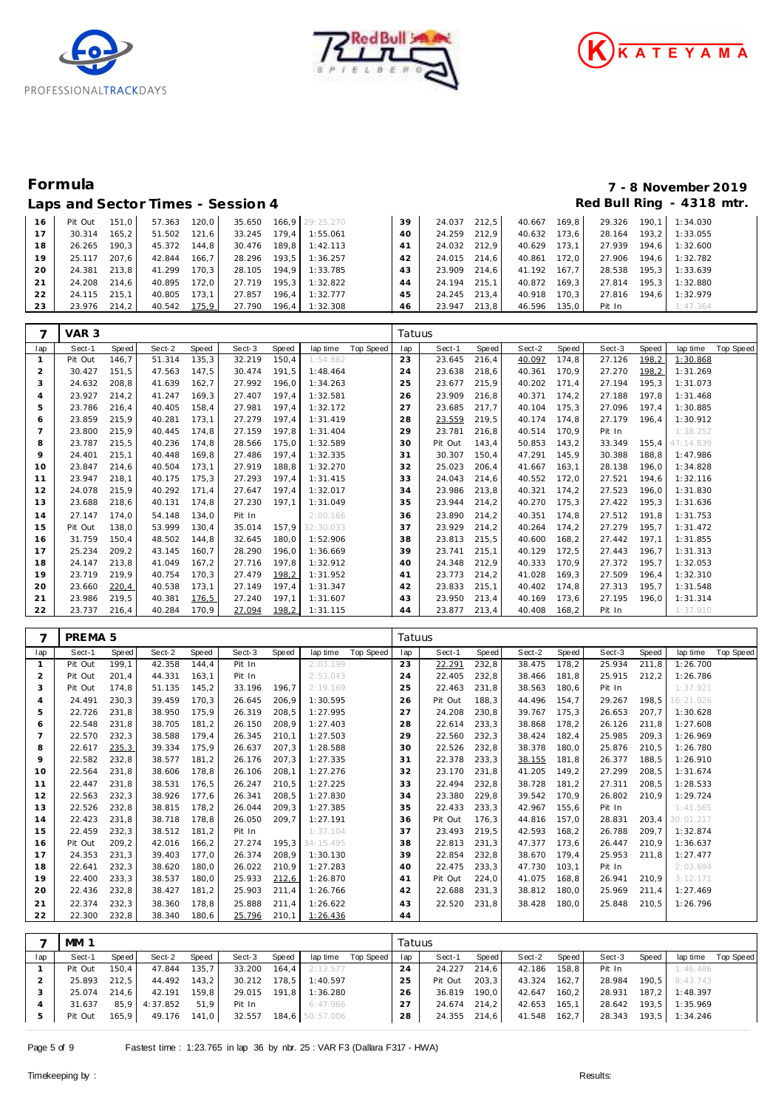





### Laps and Sector Times - Session 4 *Red Bull Ring - 4318 mtr.*

# **Formula 7 - 8 November 2019**

| 16 | Pit Out | 151.0 | 57.363 | 120.0 |        |         | 35.650 166.9 29:25.270 | 39 | 24.037       | 212.5 | 40.667 | 169.8 | 29.326 | 190.1  | 1:34.030 |
|----|---------|-------|--------|-------|--------|---------|------------------------|----|--------------|-------|--------|-------|--------|--------|----------|
| 17 | 30.314  | 165.2 | 51.502 | 121.6 | 33.245 | 179.4   | 1:55.061               | 40 | 24.259       | 212.9 | 40.632 | 173.6 | 28.164 | 193.21 | 1:33.055 |
| 18 | 26.265  | 190.3 | 45.372 | 144.8 | 30.476 |         | 189.8 1:42.113         | 41 | 24.032       | 212.9 | 40.629 | 173.1 | 27.939 | 194.6  | 1:32.600 |
| 19 | 25.117  | 207.6 | 42.844 | 166.7 | 28.296 | 193.5   | 1:36.257               | 42 | 24.015 214.6 |       | 40.861 | 172.0 | 27.906 | 194.6  | 1:32.782 |
| 20 | 24.381  | 213.8 | 41.299 | 170.3 | 28.105 | 194.9   | 1:33.785               | 43 | 23.909       | 214.6 | 41.192 | 167.7 | 28.538 | 195.3  | 1:33.639 |
| 21 | 24.208  | 214.6 | 40.895 | 172.0 | 27.719 | $195.3$ | 1:32.822               | 44 | 24.194       | 215.1 | 40.872 | 169.3 | 27.814 | 195.3  | 1:32.880 |
| 22 | 24.115  | 215.1 | 40.805 | 173.1 | 27.857 | 196.4   | 1:32.777               | 45 | 24.245 213.4 |       | 40.918 | 170.3 | 27.816 | 194.6  | 1:32.979 |
| 23 | 23.976  | 214.2 | 40.542 | 175,9 | 27.790 | $196.4$ | 1:32.308               | 46 | 23.947       | 213.8 | 46.596 | 135.0 | Pit In |        | 1:47.364 |

| 7              | VAR 3   |       |        |       |        |       |           |           | Tatuus |         |       |        |       |        |       |           |           |
|----------------|---------|-------|--------|-------|--------|-------|-----------|-----------|--------|---------|-------|--------|-------|--------|-------|-----------|-----------|
| lap            | Sect-1  | Speed | Sect-2 | Speed | Sect-3 | Speed | lap time  | Top Speed | lap    | Sect-1  | Speed | Sect-2 | Speed | Sect-3 | Speed | lap time  | Top Speed |
| $\mathbf{1}$   | Pit Out | 146,7 | 51.314 | 135,3 | 32.219 | 150,4 | 1:54.882  |           | 23     | 23.645  | 216,4 | 40.097 | 174,8 | 27.126 | 198,2 | 1:30.868  |           |
| $\overline{2}$ | 30.427  | 151,5 | 47.563 | 147,5 | 30.474 | 191,5 | 1:48.464  |           | 24     | 23.638  | 218,6 | 40.361 | 170,9 | 27.270 | 198,2 | 1:31.269  |           |
| 3              | 24.632  | 208,8 | 41.639 | 162,7 | 27.992 | 196,0 | 1:34.263  |           | 25     | 23.677  | 215,9 | 40.202 | 171,4 | 27.194 | 195,3 | 1:31.073  |           |
| $\overline{4}$ | 23.927  | 214,2 | 41.247 | 169,3 | 27.407 | 197,4 | 1:32.581  |           | 26     | 23.909  | 216,8 | 40.371 | 174,2 | 27.188 | 197,8 | 1:31.468  |           |
| 5              | 23.786  | 216,4 | 40.405 | 158,4 | 27.981 | 197,4 | 1:32.172  |           | 27     | 23.685  | 217,7 | 40.104 | 175,3 | 27.096 | 197,4 | 1:30.885  |           |
| 6              | 23.859  | 215,9 | 40.281 | 173,1 | 27.279 | 197,4 | 1:31.419  |           | 28     | 23.559  | 219,5 | 40.174 | 174,8 | 27.179 | 196,4 | 1:30.912  |           |
| 7              | 23.800  | 215,9 | 40.445 | 174,8 | 27.159 | 197,8 | 1:31.404  |           | 29     | 23.781  | 216,8 | 40.514 | 170,9 | Pit In |       | 1:38.252  |           |
| 8              | 23.787  | 215,5 | 40.236 | 174,8 | 28.566 | 175,0 | 1:32.589  |           | 30     | Pit Out | 143,4 | 50.853 | 143,2 | 33.349 | 155,4 | 47:14.839 |           |
| 9              | 24.401  | 215,1 | 40.448 | 169,8 | 27.486 | 197,4 | 1:32.335  |           | 31     | 30.307  | 150,4 | 47.291 | 145,9 | 30.388 | 188,8 | 1:47.986  |           |
| 10             | 23.847  | 214,6 | 40.504 | 173,1 | 27.919 | 188,8 | 1:32.270  |           | 32     | 25.023  | 206,4 | 41.667 | 163,1 | 28.138 | 196,0 | 1:34.828  |           |
| 11             | 23.947  | 218,1 | 40.175 | 175,3 | 27.293 | 197,4 | 1:31.415  |           | 33     | 24.043  | 214,6 | 40.552 | 172,0 | 27.521 | 194,6 | 1:32.116  |           |
| 12             | 24.078  | 215,9 | 40.292 | 171,4 | 27.647 | 197,4 | 1:32.017  |           | 34     | 23.986  | 213,8 | 40.321 | 174,2 | 27.523 | 196,0 | 1:31.830  |           |
| 13             | 23.688  | 218,6 | 40.131 | 174,8 | 27.230 | 197,1 | 1:31.049  |           | 35     | 23.944  | 214,2 | 40.270 | 175,3 | 27.422 | 195,3 | 1:31.636  |           |
| 14             | 27.147  | 174,0 | 54.148 | 134,0 | Pit In |       | 2:00.166  |           | 36     | 23.890  | 214,2 | 40.351 | 174,8 | 27.512 | 191,8 | 1:31.753  |           |
| 15             | Pit Out | 138,0 | 53.999 | 130,4 | 35.014 | 157,9 | 32:30.033 |           | 37     | 23.929  | 214,2 | 40.264 | 174,2 | 27.279 | 195,7 | 1:31.472  |           |
| 16             | 31.759  | 150,4 | 48.502 | 144,8 | 32.645 | 180,0 | 1:52.906  |           | 38     | 23.813  | 215,5 | 40.600 | 168,2 | 27.442 | 197,1 | 1:31.855  |           |
| 17             | 25.234  | 209,2 | 43.145 | 160,7 | 28.290 | 196,0 | 1:36.669  |           | 39     | 23.741  | 215,1 | 40.129 | 172,5 | 27.443 | 196,7 | 1:31.313  |           |
| 18             | 24.147  | 213,8 | 41.049 | 167,2 | 27.716 | 197,8 | 1:32.912  |           | 40     | 24.348  | 212,9 | 40.333 | 170,9 | 27.372 | 195,7 | 1:32.053  |           |
| 19             | 23.719  | 219,9 | 40.754 | 170,3 | 27.479 | 198,2 | 1:31.952  |           | 41     | 23.773  | 214,2 | 41.028 | 169,3 | 27.509 | 196,4 | 1:32.310  |           |
| 20             | 23.660  | 220,4 | 40.538 | 173,1 | 27.149 | 197,4 | 1:31.347  |           | 42     | 23.833  | 215,1 | 40.402 | 174,8 | 27.313 | 195,7 | 1:31.548  |           |
| 21             | 23.986  | 219,5 | 40.381 | 176,5 | 27.240 | 197,1 | 1:31.607  |           | 43     | 23.950  | 213,4 | 40.169 | 173,6 | 27.195 | 196,0 | 1:31.314  |           |
| 22             | 23.737  | 216,4 | 40.284 | 170,9 | 27.094 | 198,2 | 1:31.115  |           | 44     | 23.877  | 213,4 | 40.408 | 168,2 | Pit In |       | 1:37.910  |           |

| 7              | PREMA <sub>5</sub> |       |        |       |        |       |           |           | Tatuus |         |       |        |       |        |       |           |                  |
|----------------|--------------------|-------|--------|-------|--------|-------|-----------|-----------|--------|---------|-------|--------|-------|--------|-------|-----------|------------------|
| lap            | Sect-1             | Speed | Sect-2 | Speed | Sect-3 | Speed | lap time  | Top Speed | lap    | Sect-1  | Speed | Sect-2 | Speed | Sect-3 | Speed | lap time  | <b>Top Speed</b> |
| $\mathbf{1}$   | Pit Out            | 199,1 | 42.358 | 144,4 | Pit In |       | 2:03.199  |           | 23     | 22.291  | 232,8 | 38.475 | 178,2 | 25.934 | 211,8 | 1:26.700  |                  |
| 2              | Pit Out            | 201,4 | 44.331 | 163,1 | Pit In |       | 2:53.043  |           | 24     | 22.405  | 232,8 | 38.466 | 181,8 | 25.915 | 212,2 | 1:26.786  |                  |
| 3              | Pit Out            | 174.8 | 51.135 | 145,2 | 33.196 | 196.7 | 2:19.169  |           | 25     | 22.463  | 231,8 | 38.563 | 180.6 | Pit In |       | 1:37.921  |                  |
| $\overline{4}$ | 24.491             | 230,3 | 39.459 | 170,3 | 26.645 | 206,9 | 1:30.595  |           | 26     | Pit Out | 188,3 | 44.496 | 154,7 | 29.267 | 198.5 | 16:21.926 |                  |
| 5              | 22.726             | 231,8 | 38.950 | 175,9 | 26.319 | 208,5 | 1:27.995  |           | 27     | 24.208  | 230,8 | 39.767 | 175,3 | 26.653 | 207,7 | 1:30.628  |                  |
| 6              | 22.548             | 231.8 | 38.705 | 181,2 | 26.150 | 208,9 | 1:27.403  |           | 28     | 22.614  | 233,3 | 38.868 | 178.2 | 26.126 | 211.8 | 1:27.608  |                  |
| $\overline{7}$ | 22.570             | 232,3 | 38.588 | 179.4 | 26.345 | 210.1 | 1:27.503  |           | 29     | 22.560  | 232,3 | 38.424 | 182.4 | 25.985 | 209.3 | 1:26.969  |                  |
| 8              | 22.617             | 235,3 | 39.334 | 175,9 | 26.637 | 207,3 | 1:28.588  |           | 30     | 22.526  | 232,8 | 38.378 | 180,0 | 25.876 | 210,5 | 1:26.780  |                  |
| 9              | 22.582             | 232,8 | 38.577 | 181,2 | 26.176 | 207.3 | 1:27.335  |           | 31     | 22.378  | 233,3 | 38.155 | 181.8 | 26.377 | 188.5 | 1:26.910  |                  |
| 10             | 22.564             | 231,8 | 38.606 | 178,8 | 26.106 | 208,1 | 1:27.276  |           | 32     | 23.170  | 231,8 | 41.205 | 149,2 | 27.299 | 208,5 | 1:31.674  |                  |
| 11             | 22.447             | 231.8 | 38.531 | 176,5 | 26.247 | 210,5 | 1:27.225  |           | 33     | 22.494  | 232,8 | 38.728 | 181.2 | 27.311 | 208.5 | 1:28.533  |                  |
| 12             | 22.563             | 232,3 | 38.926 | 177,6 | 26.341 | 208,5 | 1:27.830  |           | 34     | 23.380  | 229,8 | 39.542 | 170,9 | 26.802 | 210.9 | 1:29.724  |                  |
| 13             | 22.526             | 232,8 | 38.815 | 178,2 | 26.044 | 209.3 | 1:27.385  |           | 35     | 22.433  | 233,3 | 42.967 | 155.6 | Pit In |       | 1:41.565  |                  |
| 14             | 22.423             | 231.8 | 38.718 | 178,8 | 26.050 | 209,7 | 1:27.191  |           | 36     | Pit Out | 176,3 | 44.816 | 157,0 | 28.831 | 203.4 | 30:01.217 |                  |
| 15             | 22.459             | 232,3 | 38.512 | 181,2 | Pit In |       | 1:37.104  |           | 37     | 23.493  | 219,5 | 42.593 | 168,2 | 26.788 | 209.7 | 1:32.874  |                  |
| 16             | Pit Out            | 209.2 | 42.016 | 166,2 | 27.274 | 195.3 | 34:15.495 |           | 38     | 22.813  | 231.3 | 47.377 | 173.6 | 26.447 | 210.9 | 1:36.637  |                  |
| 17             | 24.353             | 231,3 | 39.403 | 177.0 | 26.374 | 208,9 | 1:30.130  |           | 39     | 22.854  | 232,8 | 38.670 | 179.4 | 25.953 | 211.8 | 1:27.477  |                  |
| 18             | 22.641             | 232,3 | 38.620 | 180,0 | 26.022 | 210,9 | 1:27.283  |           | 40     | 22.475  | 233,3 | 47.730 | 103.1 | Pit In |       | 2:03.694  |                  |
| 19             | 22.400             | 233,3 | 38.537 | 180,0 | 25.933 | 212,6 | 1:26.870  |           | 41     | Pit Out | 224,0 | 41.075 | 168,8 | 26.941 | 210,9 | 3:12.171  |                  |
| 20             | 22.436             | 232,8 | 38.427 | 181,2 | 25.903 | 211,4 | 1:26.766  |           | 42     | 22.688  | 231,3 | 38.812 | 180.0 | 25.969 | 211.4 | 1:27.469  |                  |
| 21             | 22.374             | 232,3 | 38.360 | 178.8 | 25.888 | 211,4 | 1:26.622  |           | 43     | 22.520  | 231,8 | 38.428 | 180.0 | 25.848 | 210.5 | 1:26.796  |                  |
| 22             | 22.300             | 232,8 | 38.340 | 180,6 | 25.796 | 210,1 | 1:26.436  |           | 44     |         |       |        |       |        |       |           |                  |
|                |                    |       |        |       |        |       |           |           |        |         |       |        |       |        |       |           |                  |

|     | <b>MM 1</b> |       |               |       |              |       |                 |           | Tatuus |         |       |        |       |        |       |                |           |
|-----|-------------|-------|---------------|-------|--------------|-------|-----------------|-----------|--------|---------|-------|--------|-------|--------|-------|----------------|-----------|
| lap | Sect-1      | Speed | Sect-2        | Speed | Sect-3       | Speed | lap time        | Top Speed | lap    | Sect-1  | Speed | Sect-2 | Speed | Sect-3 | Speed | lap time       | Top Speed |
|     | Pit Out     | 150.4 | 47.844        | 135.7 | 33.200       | 164.4 | 2:13.577        |           |        | 24.227  | 214.6 | 42.186 | 158.8 | Pit In |       | 1:46.486       |           |
|     | 25.893      | 212.5 | 44.492        | 143.2 | 30.212 178,5 |       | 1:40.597        |           | 25     | Pit Out | 203.3 | 43.324 | 162.7 | 28.984 |       | 190.5 8:43.743 |           |
|     | 25.074      | 214.6 | 42.191        | 159.8 | 29.015 191.8 |       | 1:36.280        |           | 26     | 36.819  | 190.0 | 42.647 | 160,2 | 28.931 | 187.2 | 1:48.397       |           |
|     | 31.637      |       | 85.9 4:37.852 | 51.9  | Pit In       |       | 6:47.966        |           |        | 24.674  | 214.2 | 42.653 | 165,1 | 28.642 | 193.5 | 1:35.969       |           |
|     | Pit Out     | 165,9 | 49.176        | 141,0 | 32.557       |       | 184,6 50:57.006 |           | 28     | 24.355  | 214,6 | 41.548 | 162,7 | 28.343 |       | 193,5 1:34.246 |           |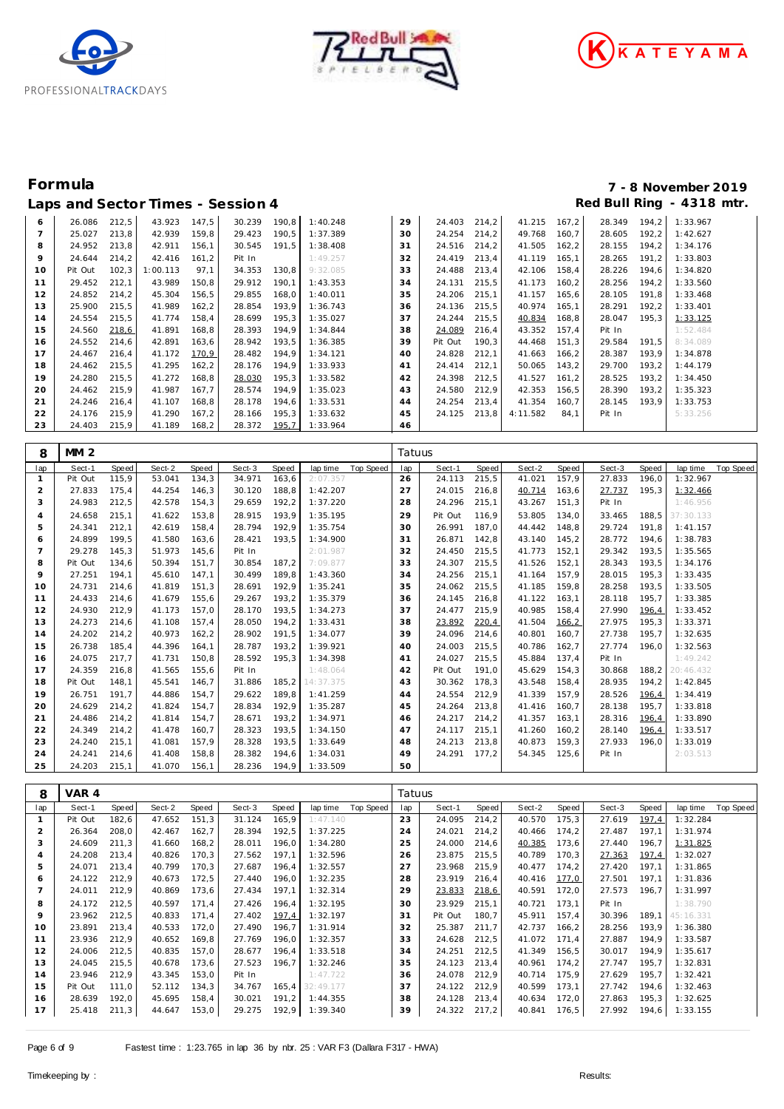





| -- r           |         | ----  |          |        |        |       |          |    |         |       |          |       |        | ີ     |          |
|----------------|---------|-------|----------|--------|--------|-------|----------|----|---------|-------|----------|-------|--------|-------|----------|
| 6              | 26.086  | 212,5 | 43.923   | 147,5  | 30.239 | 190,8 | 1:40.248 | 29 | 24.403  | 214,2 | 41.215   | 167,2 | 28.349 | 194,2 | 1:33.967 |
| $\overline{ }$ | 25.027  | 213,8 | 42.939   | 159,8  | 29.423 | 190,5 | 1:37.389 | 30 | 24.254  | 214,2 | 49.768   | 160,7 | 28.605 | 192,2 | 1:42.627 |
| 8              | 24.952  | 213,8 | 42.911   | 156,1  | 30.545 | 191,5 | 1:38.408 | 31 | 24.516  | 214,2 | 41.505   | 162,2 | 28.155 | 194,2 | 1:34.176 |
| 9              | 24.644  | 214,2 | 42.416   | 161,2  | Pit In |       | 1:49.257 | 32 | 24.419  | 213,4 | 41.119   | 165,1 | 28.265 | 191,2 | 1:33.803 |
| 10             | Pit Out | 102,3 | 1:00.113 | 97,1   | 34.353 | 130,8 | 9:32.085 | 33 | 24.488  | 213,4 | 42.106   | 158,4 | 28.226 | 194,6 | 1:34.820 |
| 11             | 29.452  | 212,1 | 43.989   | 150,8  | 29.912 | 190,1 | 1:43.353 | 34 | 24.131  | 215,5 | 41.173   | 160,2 | 28.256 | 194,2 | 1:33.560 |
| 12             | 24.852  | 214,2 | 45.304   | 156,5  | 29.855 | 168,0 | 1:40.011 | 35 | 24.206  | 215,1 | 41.157   | 165,6 | 28.105 | 191,8 | 1:33.468 |
| 13             | 25.900  | 215,5 | 41.989   | 162, 2 | 28.854 | 193,9 | 1:36.743 | 36 | 24.136  | 215,5 | 40.974   | 165,1 | 28.291 | 192,2 | 1:33.401 |
| 14             | 24.554  | 215,5 | 41.774   | 158,4  | 28.699 | 195,3 | 1:35.027 | 37 | 24.244  | 215,5 | 40.834   | 168,8 | 28.047 | 195,3 | 1:33.125 |
| 15             | 24.560  | 218,6 | 41.891   | 168,8  | 28.393 | 194,9 | 1:34.844 | 38 | 24.089  | 216,4 | 43.352   | 157,4 | Pit In |       | 1:52.484 |
| 16             | 24.552  | 214,6 | 42.891   | 163,6  | 28.942 | 193,5 | 1:36.385 | 39 | Pit Out | 190,3 | 44.468   | 151,3 | 29.584 | 191,5 | 8:34.089 |
| 17             | 24.467  | 216,4 | 41.172   | 170.9  | 28.482 | 194,9 | 1:34.121 | 40 | 24.828  | 212,1 | 41.663   | 166,2 | 28.387 | 193,9 | 1:34.878 |
| 18             | 24.462  | 215,5 | 41.295   | 162,2  | 28.176 | 194,9 | 1:33.933 | 41 | 24.414  | 212,1 | 50.065   | 143,2 | 29.700 | 193,2 | 1:44.179 |
| 19             | 24.280  | 215,5 | 41.272   | 168,8  | 28.030 | 195,3 | 1:33.582 | 42 | 24.398  | 212,5 | 41.527   | 161,2 | 28.525 | 193,2 | 1:34.450 |
| 20             | 24.462  | 215,9 | 41.987   | 167,7  | 28.574 | 194,9 | 1:35.023 | 43 | 24.580  | 212,9 | 42.353   | 156,5 | 28.390 | 193,2 | 1:35.323 |
| 21             | 24.246  | 216,4 | 41.107   | 168,8  | 28.178 | 194,6 | 1:33.531 | 44 | 24.254  | 213,4 | 41.354   | 160,7 | 28.145 | 193,9 | 1:33.753 |
| 22             | 24.176  | 215,9 | 41.290   | 167,2  | 28.166 | 195,3 | 1:33.632 | 45 | 24.125  | 213,8 | 4:11.582 | 84,1  | Pit In |       | 5:33.256 |
| 23             | 24.403  | 215,9 | 41.189   | 168,2  | 28.372 | 195,7 | 1:33.964 | 46 |         |       |          |       |        |       |          |

| 8              | <b>MM 2</b> |       |        |              |        |       |           |                  | Tatuus |         |       |        |        |        |       |           |           |
|----------------|-------------|-------|--------|--------------|--------|-------|-----------|------------------|--------|---------|-------|--------|--------|--------|-------|-----------|-----------|
| lap            | Sect-1      | Speed | Sect-2 | <b>Speed</b> | Sect-3 | Speed | lap time  | <b>Top Speed</b> | lap    | Sect-1  | Speed | Sect-2 | Speed  | Sect-3 | Speed | lap time  | Top Speed |
|                | Pit Out     | 115,9 | 53.041 | 134,3        | 34.971 | 163,6 | 2:07.357  |                  | 26     | 24.113  | 215,5 | 41.021 | 157.9  | 27.833 | 196.0 | 1:32.967  |           |
| 2              | 27.833      | 175.4 | 44.254 | 146,3        | 30.120 | 188,8 | 1:42.207  |                  | 27     | 24.015  | 216,8 | 40.714 | 163,6  | 27.737 | 195.3 | 1:32.466  |           |
| 3              | 24.983      | 212,5 | 42.578 | 154,3        | 29.659 | 192,2 | 1:37.220  |                  | 28     | 24.296  | 215,1 | 43.267 | 151.3  | Pit In |       | 1:46.956  |           |
| 4              | 24.658      | 215.1 | 41.622 | 153,8        | 28.915 | 193,9 | 1:35.195  |                  | 29     | Pit Out | 116,9 | 53.805 | 134.0  | 33.465 | 188,5 | 37:30.133 |           |
| 5              | 24.341      | 212.1 | 42.619 | 158.4        | 28.794 | 192,9 | 1:35.754  |                  | 30     | 26.991  | 187.0 | 44.442 | 148.8  | 29.724 | 191.8 | 1:41.157  |           |
| 6              | 24.899      | 199.5 | 41.580 | 163,6        | 28.421 | 193.5 | 1:34.900  |                  | 31     | 26.871  | 142,8 | 43.140 | 145.2  | 28.772 | 194.6 | 1:38.783  |           |
| $\overline{7}$ | 29.278      | 145,3 | 51.973 | 145,6        | Pit In |       | 2:01.987  |                  | 32     | 24.450  | 215,5 | 41.773 | 152,1  | 29.342 | 193,5 | 1:35.565  |           |
| 8              | Pit Out     | 134,6 | 50.394 | 151,7        | 30.854 | 187,2 | 7:09.877  |                  | 33     | 24.307  | 215,5 | 41.526 | 152,1  | 28.343 | 193,5 | 1:34.176  |           |
| 9              | 27.251      | 194,1 | 45.610 | 147,1        | 30.499 | 189.8 | 1:43.360  |                  | 34     | 24.256  | 215,1 | 41.164 | 157.9  | 28.015 | 195,3 | 1:33.435  |           |
| 10             | 24.731      | 214.6 | 41.819 | 151,3        | 28.691 | 192,9 | 1:35.241  |                  | 35     | 24.062  | 215,5 | 41.185 | 159,8  | 28.258 | 193,5 | 1:33.505  |           |
| 11             | 24.433      | 214,6 | 41.679 | 155,6        | 29.267 | 193,2 | 1:35.379  |                  | 36     | 24.145  | 216,8 | 41.122 | 163,1  | 28.118 | 195.7 | 1:33.385  |           |
| 12             | 24.930      | 212.9 | 41.173 | 157.0        | 28.170 | 193,5 | 1:34.273  |                  | 37     | 24.477  | 215,9 | 40.985 | 158.4  | 27.990 | 196.4 | 1:33.452  |           |
| 13             | 24.273      | 214.6 | 41.108 | 157.4        | 28.050 | 194.2 | 1:33.431  |                  | 38     | 23.892  | 220,4 | 41.504 | 166, 2 | 27.975 | 195.3 | 1:33.371  |           |
| 14             | 24.202      | 214,2 | 40.973 | 162, 2       | 28.902 | 191,5 | 1:34.077  |                  | 39     | 24.096  | 214,6 | 40.801 | 160,7  | 27.738 | 195,7 | 1:32.635  |           |
| 15             | 26.738      | 185.4 | 44.396 | 164,1        | 28.787 | 193.2 | 1:39.921  |                  | 40     | 24.003  | 215,5 | 40.786 | 162,7  | 27.774 | 196.0 | 1:32.563  |           |
| 16             | 24.075      | 217.7 | 41.731 | 150,8        | 28.592 | 195,3 | 1:34.398  |                  | 41     | 24.027  | 215,5 | 45.884 | 137.4  | Pit In |       | 1:49.242  |           |
| 17             | 24.359      | 216.8 | 41.565 | 155.6        | Pit In |       | 1:48.064  |                  | 42     | Pit Out | 191.0 | 45.629 | 154.3  | 30.868 | 188,2 | 20:46.432 |           |
| 18             | Pit Out     | 148,1 | 45.541 | 146,7        | 31.886 | 185,2 | 14:37.375 |                  | 43     | 30.362  | 178,3 | 43.548 | 158,4  | 28.935 | 194,2 | 1:42.845  |           |
| 19             | 26.751      | 191.7 | 44.886 | 154,7        | 29.622 | 189,8 | 1:41.259  |                  | 44     | 24.554  | 212,9 | 41.339 | 157,9  | 28.526 | 196,4 | 1:34.419  |           |
| 20             | 24.629      | 214,2 | 41.824 | 154,7        | 28.834 | 192,9 | 1:35.287  |                  | 45     | 24.264  | 213,8 | 41.416 | 160,7  | 28.138 | 195.7 | 1:33.818  |           |
| 21             | 24.486      | 214,2 | 41.814 | 154.7        | 28.671 | 193,2 | 1:34.971  |                  | 46     | 24.217  | 214,2 | 41.357 | 163.1  | 28.316 | 196,4 | 1:33.890  |           |
| 22             | 24.349      | 214.2 | 41.478 | 160,7        | 28.323 | 193,5 | 1:34.150  |                  | 47     | 24.117  | 215,1 | 41.260 | 160.2  | 28.140 | 196,4 | 1:33.517  |           |
| 23             | 24.240      | 215,1 | 41.081 | 157,9        | 28.328 | 193,5 | 1:33.649  |                  | 48     | 24.213  | 213,8 | 40.873 | 159,3  | 27.933 | 196.0 | 1:33.019  |           |
| 24             | 24.241      | 214,6 | 41.408 | 158,8        | 28.382 | 194,6 | 1:34.031  |                  | 49     | 24.291  | 177,2 | 54.345 | 125,6  | Pit In |       | 2:03.513  |           |
| 25             | 24.203      | 215.1 | 41.070 | 156.1        | 28.236 | 194.9 | 1:33.509  |                  | 50     |         |       |        |        |        |       |           |           |

| 8              | VAR 4   |       |        |       |        |        |           |           | Tatuus |         |       |        |       |        |       |           |                  |
|----------------|---------|-------|--------|-------|--------|--------|-----------|-----------|--------|---------|-------|--------|-------|--------|-------|-----------|------------------|
| lap            | Sect-1  | Speed | Sect-2 | Speed | Sect-3 | Speed  | lap time  | Top Speed | lap    | Sect-1  | Speed | Sect-2 | Speed | Sect-3 | Speed | lap time  | <b>Top Speed</b> |
|                | Pit Out | 182,6 | 47.652 | 151.3 | 31.124 | 165,9  | 1:47.140  |           | 23     | 24.095  | 214,2 | 40.570 | 175,3 | 27.619 | 197,4 | 1:32.284  |                  |
| $\overline{2}$ | 26.364  | 208,0 | 42.467 | 162,7 | 28.394 | 192,5  | 1:37.225  |           | 24     | 24.021  | 214,2 | 40.466 | 174,2 | 27.487 | 197,1 | 1:31.974  |                  |
| 3              | 24.609  | 211,3 | 41.660 | 168,2 | 28.011 | 196,0  | 1:34.280  |           | 25     | 24.000  | 214,6 | 40.385 | 173,6 | 27.440 | 196,7 | 1:31.825  |                  |
| $\overline{4}$ | 24.208  | 213.4 | 40.826 | 170.3 | 27.562 | 197.1  | 1:32.596  |           | 26     | 23.875  | 215.5 | 40.789 | 170.3 | 27.363 | 197,4 | 1:32.027  |                  |
| 5              | 24.071  | 213.4 | 40.799 | 170.3 | 27.687 | 196.4  | 1:32.557  |           | 27     | 23.968  | 215,9 | 40.477 | 174.2 | 27.420 | 197.1 | 1:31.865  |                  |
| 6              | 24.122  | 212,9 | 40.673 | 172,5 | 27.440 | 196,0  | 1:32.235  |           | 28     | 23.919  | 216,4 | 40.416 | 177,0 | 27.501 | 197,1 | 1:31.836  |                  |
|                | 24.011  | 212,9 | 40.869 | 173,6 | 27.434 | 197,1  | 1:32.314  |           | 29     | 23.833  | 218,6 | 40.591 | 172,0 | 27.573 | 196,7 | 1:31.997  |                  |
| 8              | 24.172  | 212,5 | 40.597 | 171,4 | 27.426 | 196,4  | 1:32.195  |           | 30     | 23.929  | 215,1 | 40.721 | 173.1 | Pit In |       | 1:38.790  |                  |
| $\circ$        | 23.962  | 212.5 | 40.833 | 171.4 | 27.402 | 197,4  | 1:32.197  |           | 31     | Pit Out | 180,7 | 45.911 | 157.4 | 30.396 | 189.1 | 45:16.331 |                  |
| 10             | 23.891  | 213,4 | 40.533 | 172,0 | 27.490 | 196,7  | 1:31.914  |           | 32     | 25.387  | 211,7 | 42.737 | 166,2 | 28.256 | 193,9 | 1:36.380  |                  |
| 11             | 23.936  | 212,9 | 40.652 | 169,8 | 27.769 | 196.0  | 1:32.357  |           | 33     | 24.628  | 212,5 | 41.072 | 171,4 | 27.887 | 194,9 | 1:33.587  |                  |
| 12             | 24.006  | 212.5 | 40.835 | 157.0 | 28.677 | 196.4  | 1:33.518  |           | 34     | 24.251  | 212,5 | 41.349 | 156,5 | 30.017 | 194.9 | 1:35.617  |                  |
| 13             | 24.045  | 215,5 | 40.678 | 173.6 | 27.523 | 196.7  | 1:32.246  |           | 35     | 24.123  | 213.4 | 40.961 | 174.2 | 27.747 | 195.7 | 1:32.831  |                  |
| 14             | 23.946  | 212,9 | 43.345 | 153,0 | Pit In |        | 1:47.722  |           | 36     | 24.078  | 212,9 | 40.714 | 175,9 | 27.629 | 195,7 | 1:32.421  |                  |
| 15             | Pit Out | 111,0 | 52.112 | 134,3 | 34.767 | 165, 4 | 32:49.177 |           | 37     | 24.122  | 212,9 | 40.599 | 173,1 | 27.742 | 194,6 | 1:32.463  |                  |
| 16             | 28.639  | 192,0 | 45.695 | 158,4 | 30.021 | 191.2  | 1:44.355  |           | 38     | 24.128  | 213,4 | 40.634 | 172,0 | 27.863 | 195,3 | 1:32.625  |                  |
| 17             | 25.418  | 211,3 | 44.647 | 153,0 | 29.275 | 192,9  | 1:39.340  |           | 39     | 24.322  | 217,2 | 40.841 | 176,5 | 27.992 | 194,6 | 1:33.155  |                  |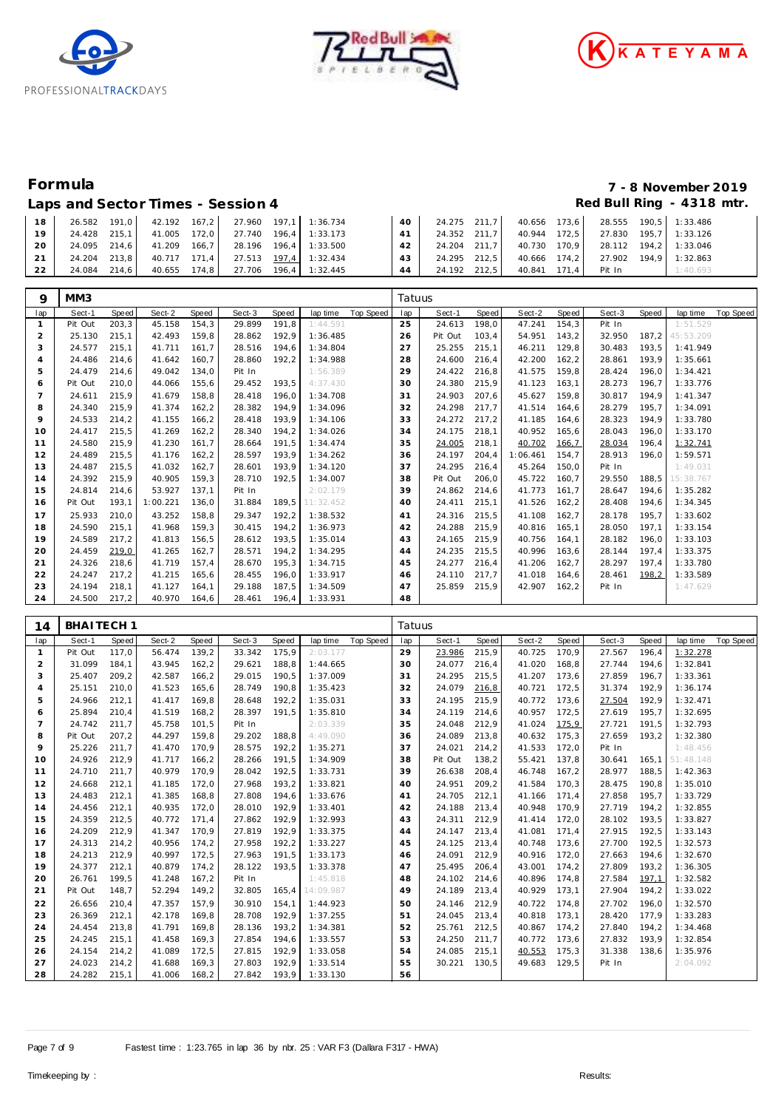





### Laps and Sector Times - Session 4 *Red Bull Ring - 4318 mtr.*

# **Formula 7 - 8 November 2019**

| 18 <sup>'</sup> |              | 26.582 191,0 42.192 167,2 27.960 197,1 1:36.734 |                                    | 40 | 24.275 211,7 40.656 173,6 28.555 190,5 1:33.486                    |                                                 |        |          |
|-----------------|--------------|-------------------------------------------------|------------------------------------|----|--------------------------------------------------------------------|-------------------------------------------------|--------|----------|
| 19              |              | 24.428 215.1 41.005 172.0 27.740 196.4 1:33.173 |                                    |    | $\vert$ 41   24.352 211,7   40.944 172,5   27.830 195,7   1:33.126 |                                                 |        |          |
| <b>20</b>       |              | 24.095 214.6 41.209 166.7 28.196 196.4 1:33.500 |                                    |    | 42   24.204 211,7   40.730 170,9   28.112 194,2   1:33.046         |                                                 |        |          |
| 21              |              | 24.204 213.8 40.717 171.4 27.513 197.4 1:32.434 |                                    | 43 |                                                                    | 24.295 212,5 40.666 174,2 27.902 194,9 1:32.863 |        |          |
| 22              | 24.084 214.6 |                                                 | 40.655 174.8 27.706 196.4 1:32.445 | 44 | 24.192 212.5                                                       | 40.841 171.4                                    | Pit In | 1:40.693 |

| 9              | MM3     |       |          |       |        |       |           |                  | Tatuus |         |       |          |        |        |       |           |                  |
|----------------|---------|-------|----------|-------|--------|-------|-----------|------------------|--------|---------|-------|----------|--------|--------|-------|-----------|------------------|
| lap            | Sect-1  | Speed | Sect-2   | Speed | Sect-3 | Speed | lap time  | <b>Top Speed</b> | lap    | Sect-1  | Speed | Sect-2   | Speed  | Sect-3 | Speed | lap time  | <b>Top Speed</b> |
|                | Pit Out | 203,3 | 45.158   | 154,3 | 29.899 | 191,8 | 1:44.591  |                  | 25     | 24.613  | 198,0 | 47.241   | 154,3  | Pit In |       | 1:51.529  |                  |
| $\overline{2}$ | 25.130  | 215.1 | 42.493   | 159,8 | 28.862 | 192,9 | 1:36.485  |                  | 26     | Pit Out | 103,4 | 54.951   | 143,2  | 32.950 | 187.2 | 45:53.209 |                  |
| 3              | 24.577  | 215,1 | 41.711   | 161,7 | 28.516 | 194,6 | 1:34.804  |                  | 27     | 25.255  | 215,1 | 46.211   | 129,8  | 30.483 | 193,5 | 1:41.949  |                  |
| 4              | 24.486  | 214,6 | 41.642   | 160.7 | 28.860 | 192.2 | 1:34.988  |                  | 28     | 24.600  | 216.4 | 42.200   | 162, 2 | 28.861 | 193.9 | 1:35.661  |                  |
| 5              | 24.479  | 214,6 | 49.042   | 134.0 | Pit In |       | 1:56.389  |                  | 29     | 24.422  | 216,8 | 41.575   | 159.8  | 28.424 | 196,0 | 1:34.421  |                  |
| 6              | Pit Out | 210.0 | 44.066   | 155,6 | 29.452 | 193,5 | 4:37.430  |                  | 30     | 24.380  | 215,9 | 41.123   | 163,1  | 28.273 | 196,7 | 1:33.776  |                  |
| $\overline{7}$ | 24.611  | 215.9 | 41.679   | 158,8 | 28.418 | 196.0 | 1:34.708  |                  | 31     | 24.903  | 207,6 | 45.627   | 159.8  | 30.817 | 194.9 | 1:41.347  |                  |
| 8              | 24.340  | 215,9 | 41.374   | 162,2 | 28.382 | 194.9 | 1:34.096  |                  | 32     | 24.298  | 217,7 | 41.514   | 164.6  | 28.279 | 195,7 | 1:34.091  |                  |
| 9              | 24.533  | 214.2 | 41.155   | 166,2 | 28.418 | 193.9 | 1:34.106  |                  | 33     | 24.272  | 217.2 | 41.185   | 164.6  | 28.323 | 194.9 | 1:33.780  |                  |
| 10             | 24.417  | 215,5 | 41.269   | 162,2 | 28.340 | 194,2 | 1:34.026  |                  | 34     | 24.175  | 218,1 | 40.952   | 165,6  | 28.043 | 196,0 | 1:33.170  |                  |
| 11             | 24.580  | 215,9 | 41.230   | 161,7 | 28.664 | 191,5 | 1:34.474  |                  | 35     | 24.005  | 218,1 | 40.702   | 166,7  | 28.034 | 196,4 | 1:32.741  |                  |
| 12             | 24.489  | 215,5 | 41.176   | 162,2 | 28.597 | 193,9 | 1:34.262  |                  | 36     | 24.197  | 204,4 | 1:06.461 | 154,7  | 28.913 | 196.0 | 1:59.571  |                  |
| 13             | 24.487  | 215,5 | 41.032   | 162,7 | 28.601 | 193,9 | 1:34.120  |                  | 37     | 24.295  | 216,4 | 45.264   | 150,0  | Pit In |       | 1:49.031  |                  |
| 14             | 24.392  | 215.9 | 40.905   | 159,3 | 28.710 | 192,5 | 1:34.007  |                  | 38     | Pit Out | 206,0 | 45.722   | 160.7  | 29.550 | 188,5 | 15:38.767 |                  |
| 15             | 24.814  | 214,6 | 53.927   | 137,1 | Pit In |       | 2:02.179  |                  | 39     | 24.862  | 214,6 | 41.773   | 161.7  | 28.647 | 194,6 | 1:35.282  |                  |
| 16             | Pit Out | 193,1 | 1:00.221 | 136,0 | 31.884 | 189,5 | 11:32.452 |                  | 40     | 24.411  | 215,1 | 41.526   | 162,2  | 28.408 | 194,6 | 1:34.345  |                  |
| 17             | 25.933  | 210.0 | 43.252   | 158,8 | 29.347 | 192,2 | 1:38.532  |                  | 41     | 24.316  | 215,5 | 41.108   | 162,7  | 28.178 | 195,7 | 1:33.602  |                  |
| 18             | 24.590  | 215,1 | 41.968   | 159,3 | 30.415 | 194,2 | 1:36.973  |                  | 42     | 24.288  | 215,9 | 40.816   | 165,1  | 28.050 | 197,1 | 1:33.154  |                  |
| 19             | 24.589  | 217.2 | 41.813   | 156,5 | 28.612 | 193.5 | 1:35.014  |                  | 43     | 24.165  | 215,9 | 40.756   | 164.1  | 28.182 | 196.0 | 1:33.103  |                  |
| 20             | 24.459  | 219,0 | 41.265   | 162,7 | 28.571 | 194,2 | 1:34.295  |                  | 44     | 24.235  | 215,5 | 40.996   | 163,6  | 28.144 | 197,4 | 1:33.375  |                  |
| 21             | 24.326  | 218.6 | 41.719   | 157.4 | 28.670 | 195.3 | 1:34.715  |                  | 45     | 24.277  | 216.4 | 41.206   | 162.7  | 28.297 | 197.4 | 1:33.780  |                  |
| 22             | 24.247  | 217,2 | 41.215   | 165,6 | 28.455 | 196,0 | 1:33.917  |                  | 46     | 24.110  | 217,7 | 41.018   | 164,6  | 28.461 | 198,2 | 1:33.589  |                  |
| 23             | 24.194  | 218,1 | 41.127   | 164,1 | 29.188 | 187,5 | 1:34.509  |                  | 47     | 25.859  | 215,9 | 42.907   | 162,2  | Pit In |       | 1:47.629  |                  |
| 24             | 24.500  | 217,2 | 40.970   | 164.6 | 28.461 | 196.4 | 1:33.931  |                  | 48     |         |       |          |        |        |       |           |                  |

| 14             | <b>BHAITECH1</b> |       |        |        |        |       |                 |           | Tatuus |         |       |        |       |        |       |           |           |
|----------------|------------------|-------|--------|--------|--------|-------|-----------------|-----------|--------|---------|-------|--------|-------|--------|-------|-----------|-----------|
| lap            | Sect-1           | Speed | Sect-2 | Speed  | Sect-3 | Speed | lap time        | Top Speed | lap    | Sect-1  | Speed | Sect-2 | Speed | Sect-3 | Speed | lap time  | Top Speed |
| $\mathbf{1}$   | Pit Out          | 117.0 | 56.474 | 139.2  | 33.342 | 175.9 | 2:03.177        |           | 29     | 23.986  | 215,9 | 40.725 | 170.9 | 27.567 | 196.4 | 1:32.278  |           |
| $\overline{2}$ | 31.099           | 184.1 | 43.945 | 162, 2 | 29.621 | 188,8 | 1:44.665        |           | 30     | 24.077  | 216,4 | 41.020 | 168,8 | 27.744 | 194.6 | 1:32.841  |           |
| 3              | 25.407           | 209,2 | 42.587 | 166,2  | 29.015 | 190,5 | 1:37.009        |           | 31     | 24.295  | 215,5 | 41.207 | 173,6 | 27.859 | 196,7 | 1:33.361  |           |
| $\overline{4}$ | 25.151           | 210.0 | 41.523 | 165,6  | 28.749 | 190,8 | 1:35.423        |           | 32     | 24.079  | 216,8 | 40.721 | 172,5 | 31.374 | 192.9 | 1:36.174  |           |
| 5              | 24.966           | 212,1 | 41.417 | 169,8  | 28.648 | 192,2 | 1:35.031        |           | 33     | 24.195  | 215,9 | 40.772 | 173,6 | 27.504 | 192,9 | 1:32.471  |           |
| 6              | 25.894           | 210,4 | 41.519 | 168,2  | 28.397 | 191,5 | 1:35.810        |           | 34     | 24.119  | 214,6 | 40.957 | 172,5 | 27.619 | 195,7 | 1:32.695  |           |
| $\overline{7}$ | 24.742           | 211.7 | 45.758 | 101.5  | Pit In |       | 2:03.339        |           | 35     | 24.048  | 212,9 | 41.024 | 175,9 | 27.721 | 191,5 | 1:32.793  |           |
| 8              | Pit Out          | 207,2 | 44.297 | 159,8  | 29.202 | 188,8 | 4:49.090        |           | 36     | 24.089  | 213,8 | 40.632 | 175,3 | 27.659 | 193,2 | 1:32.380  |           |
| 9              | 25.226           | 211,7 | 41.470 | 170,9  | 28.575 | 192,2 | 1:35.271        |           | 37     | 24.021  | 214,2 | 41.533 | 172,0 | Pit In |       | 1:48.456  |           |
| 10             | 24.926           | 212,9 | 41.717 | 166,2  | 28.266 | 191,5 | 1:34.909        |           | 38     | Pit Out | 138,2 | 55.421 | 137,8 | 30.641 | 165,1 | 51:48.148 |           |
| 11             | 24.710           | 211,7 | 40.979 | 170,9  | 28.042 | 192,5 | 1:33.731        |           | 39     | 26.638  | 208,4 | 46.748 | 167,2 | 28.977 | 188,5 | 1:42.363  |           |
| 12             | 24.668           | 212.1 | 41.185 | 172,0  | 27.968 | 193.2 | 1:33.821        |           | 40     | 24.951  | 209,2 | 41.584 | 170.3 | 28.475 | 190.8 | 1:35.010  |           |
| 13             | 24.483           | 212.1 | 41.385 | 168,8  | 27.808 | 194,6 | 1:33.676        |           | 41     | 24.705  | 212,1 | 41.166 | 171,4 | 27.858 | 195,7 | 1:33.729  |           |
| 14             | 24.456           | 212,1 | 40.935 | 172,0  | 28.010 | 192,9 | 1:33.401        |           | 42     | 24.188  | 213,4 | 40.948 | 170,9 | 27.719 | 194,2 | 1:32.855  |           |
| 15             | 24.359           | 212,5 | 40.772 | 171,4  | 27.862 | 192,9 | 1:32.993        |           | 43     | 24.311  | 212,9 | 41.414 | 172,0 | 28.102 | 193,5 | 1:33.827  |           |
| 16             | 24.209           | 212,9 | 41.347 | 170,9  | 27.819 | 192,9 | 1:33.375        |           | 44     | 24.147  | 213,4 | 41.081 | 171,4 | 27.915 | 192,5 | 1:33.143  |           |
| 17             | 24.313           | 214,2 | 40.956 | 174,2  | 27.958 | 192,2 | 1:33.227        |           | 45     | 24.125  | 213,4 | 40.748 | 173,6 | 27.700 | 192,5 | 1:32.573  |           |
| 18             | 24.213           | 212.9 | 40.997 | 172,5  | 27.963 | 191.5 | 1:33.173        |           | 46     | 24.091  | 212,9 | 40.916 | 172,0 | 27.663 | 194.6 | 1:32.670  |           |
| 19             | 24.377           | 212,1 | 40.879 | 174,2  | 28.122 | 193,5 | 1:33.378        |           | 47     | 25.495  | 206,4 | 43.001 | 174,2 | 27.809 | 193,2 | 1:36.305  |           |
| 20             | 26.761           | 199,5 | 41.248 | 167,2  | Pit In |       | 1:45.818        |           | 48     | 24.102  | 214,6 | 40.896 | 174,8 | 27.584 | 197,1 | 1:32.582  |           |
| 21             | Pit Out          | 148,7 | 52.294 | 149,2  | 32.805 |       | 165,4 14:09.987 |           | 49     | 24.189  | 213,4 | 40.929 | 173,1 | 27.904 | 194,2 | 1:33.022  |           |
| 22             | 26.656           | 210,4 | 47.357 | 157,9  | 30.910 | 154,1 | 1:44.923        |           | 50     | 24.146  | 212,9 | 40.722 | 174,8 | 27.702 | 196,0 | 1:32.570  |           |
| 23             | 26.369           | 212,1 | 42.178 | 169,8  | 28.708 | 192,9 | 1:37.255        |           | 51     | 24.045  | 213,4 | 40.818 | 173,1 | 28.420 | 177.9 | 1:33.283  |           |
| 24             | 24.454           | 213,8 | 41.791 | 169,8  | 28.136 | 193,2 | 1:34.381        |           | 52     | 25.761  | 212,5 | 40.867 | 174,2 | 27.840 | 194,2 | 1:34.468  |           |
| 25             | 24.245           | 215,1 | 41.458 | 169,3  | 27.854 | 194,6 | 1:33.557        |           | 53     | 24.250  | 211,7 | 40.772 | 173,6 | 27.832 | 193,9 | 1:32.854  |           |
| 26             | 24.154           | 214,2 | 41.089 | 172,5  | 27.815 | 192,9 | 1:33.058        |           | 54     | 24.085  | 215,1 | 40.553 | 175,3 | 31.338 | 138,6 | 1:35.976  |           |
| 27             | 24.023           | 214,2 | 41.688 | 169,3  | 27.803 | 192,9 | 1:33.514        |           | 55     | 30.221  | 130,5 | 49.683 | 129,5 | Pit In |       | 2:04.092  |           |
| 28             | 24.282           | 215,1 | 41.006 | 168,2  | 27.842 | 193,9 | 1:33.130        |           | 56     |         |       |        |       |        |       |           |           |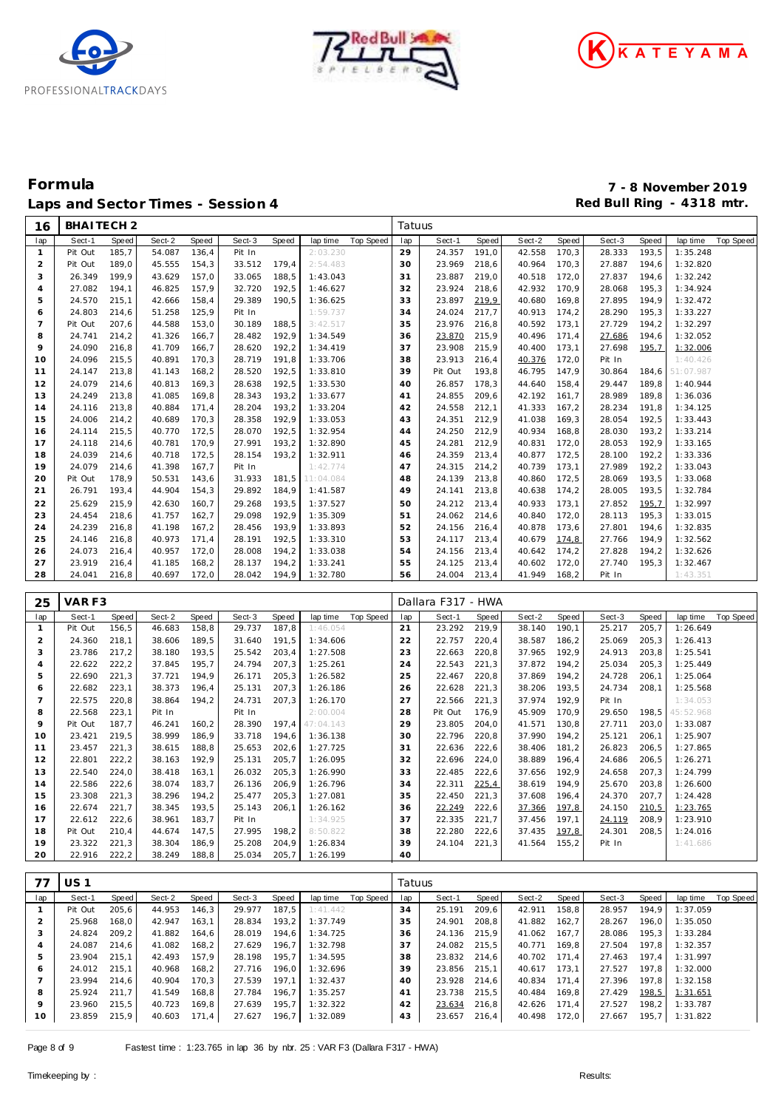





| 16             | BHAITECH <sub>2</sub> |                |                  |                |                  |                |           |                  | Tatuus   |                    |       |              |       |                  |       |           |           |
|----------------|-----------------------|----------------|------------------|----------------|------------------|----------------|-----------|------------------|----------|--------------------|-------|--------------|-------|------------------|-------|-----------|-----------|
| lap            | Sect-1                | Speed          | Sect-2           | Speed          | Sect-3           | Speed          | lap time  | Top Speed        | lap      | Sect-1             | Speed | Sect-2       | Speed | Sect-3           | Speed | lap time  | Top Speed |
| $\mathbf{1}$   | Pit Out               | 185,7          | 54.087           | 136,4          | Pit In           |                | 2:03.230  |                  | 29       | 24.357             | 191,0 | 42.558       | 170,3 | 28.333           | 193,5 | 1:35.248  |           |
| $\overline{a}$ | Pit Out               | 189,0          | 45.555           | 154,3          | 33.512           | 179,4          | 2:54.483  |                  | 30       | 23.969             | 218,6 | 40.964       | 170,3 | 27.887           | 194,6 | 1:32.820  |           |
| 3              | 26.349                | 199,9          | 43.629           | 157,0          | 33.065           | 188,5          | 1:43.043  |                  | 31       | 23.887             | 219,0 | 40.518       | 172,0 | 27.837           | 194,6 | 1:32.242  |           |
| 4              | 27.082                | 194,1          | 46.825           | 157,9          | 32.720           | 192,5          | 1:46.627  |                  | 32       | 23.924             | 218,6 | 42.932       | 170,9 | 28.068           | 195,3 | 1:34.924  |           |
| 5              | 24.570                | 215,1          | 42.666           | 158,4          | 29.389           | 190,5          | 1:36.625  |                  | 33       | 23.897             | 219,9 | 40.680       | 169,8 | 27.895           | 194,9 | 1:32.472  |           |
| 6              | 24.803                | 214,6          | 51.258           | 125,9          | Pit In           |                | 1:59.737  |                  | 34       | 24.024             | 217,7 | 40.913       | 174,2 | 28.290           | 195,3 | 1:33.227  |           |
| $\overline{7}$ | Pit Out               | 207,6          | 44.588           | 153,0          | 30.189           | 188,5          | 3:42.517  |                  | 35       | 23.976             | 216,8 | 40.592       | 173,1 | 27.729           | 194,2 | 1:32.297  |           |
| 8              | 24.741                | 214,2          | 41.326           | 166,7          | 28.482           | 192,9          | 1:34.549  |                  | 36       | 23.870             | 215,9 | 40.496       | 171,4 | 27.686           | 194,6 | 1:32.052  |           |
| 9              | 24.090                | 216,8          | 41.709           | 166,7          | 28.620           | 192,2          | 1:34.419  |                  | 37       | 23.908             | 215,9 | 40.400       | 173,1 | 27.698           | 195,7 | 1:32.006  |           |
| 10             | 24.096                | 215,5          | 40.891           | 170,3          | 28.719           | 191,8          | 1:33.706  |                  | 38       | 23.913             | 216,4 | 40.376       | 172,0 | Pit In           |       | 1:40.426  |           |
| 11             | 24.147                | 213,8          | 41.143           | 168,2          | 28.520           | 192,5          | 1:33.810  |                  | 39       | Pit Out            | 193,8 | 46.795       | 147,9 | 30.864           | 184,6 | 51:07.987 |           |
| 12             | 24.079                | 214,6          | 40.813           | 169,3          | 28.638           | 192,5          | 1:33.530  |                  | 40       | 26.857             | 178,3 | 44.640       | 158,4 | 29.447           | 189,8 | 1:40.944  |           |
| 13             | 24.249                | 213,8          | 41.085           | 169,8          | 28.343           | 193,2          | 1:33.677  |                  | 41       | 24.855             | 209,6 | 42.192       | 161,7 | 28.989           | 189,8 | 1:36.036  |           |
| 14             | 24.116                | 213,8          | 40.884           | 171,4          | 28.204           | 193,2          | 1:33.204  |                  | 42       | 24.558             | 212,1 | 41.333       | 167,2 | 28.234           | 191,8 | 1:34.125  |           |
| 15             | 24.006                | 214,2          | 40.689           | 170,3          | 28.358           | 192,9          | 1:33.053  |                  | 43       | 24.351             | 212,9 | 41.038       | 169,3 | 28.054           | 192,5 | 1:33.443  |           |
| 16             | 24.114                | 215,5          | 40.770           | 172,5          | 28.070           | 192,5          | 1:32.954  |                  | 44       | 24.250             | 212,9 | 40.934       | 168,8 | 28.030           | 193,2 | 1:33.214  |           |
| 17             | 24.118                | 214,6          | 40.781           | 170,9          | 27.991           | 193,2          | 1:32.890  |                  | 45       | 24.281             | 212,9 | 40.831       | 172,0 | 28.053           | 192,9 | 1:33.165  |           |
| 18             | 24.039                | 214,6          | 40.718           | 172,5          | 28.154           | 193,2          | 1:32.911  |                  | 46       | 24.359             | 213,4 | 40.877       | 172,5 | 28.100           | 192,2 | 1:33.336  |           |
| 19             | 24.079                | 214,6          | 41.398           | 167,7          | Pit In           |                | 1:42.774  |                  | 47       | 24.315             | 214,2 | 40.739       | 173,1 | 27.989<br>28.069 | 192,2 | 1:33.043  |           |
| 20             | Pit Out               | 178,9          | 50.531           | 143,6          | 31.933           | 181,5          | 11:04.084 |                  | 48       | 24.139             | 213,8 | 40.860       | 172,5 |                  | 193,5 | 1:33.068  |           |
| 21             | 26.791                | 193,4          | 44.904           | 154,3          | 29.892           | 184,9          | 1:41.587  |                  | 49       | 24.141             | 213,8 | 40.638       | 174,2 | 28.005           | 193,5 | 1:32.784  |           |
| 22             | 25.629                | 215,9          | 42.630           | 160,7          | 29.268           | 193,5          | 1:37.527  |                  | 50       | 24.212             | 213,4 | 40.933       | 173,1 | 27.852           | 195,7 | 1:32.997  |           |
| 23             | 24.454                | 218,6          | 41.757           | 162,7          | 29.098           | 192,9          | 1:35.309  |                  | 51       | 24.062             | 214,6 | 40.840       | 172,0 | 28.113           | 195,3 | 1:33.015  |           |
| 24             | 24.239                | 216,8          | 41.198           | 167,2          | 28.456           | 193,9          | 1:33.893  |                  | 52       | 24.156             | 216,4 | 40.878       | 173,6 | 27.801           | 194,6 | 1:32.835  |           |
| 25             | 24.146                | 216,8          | 40.973           | 171,4          | 28.191           | 192,5          | 1:33.310  |                  | 53       | 24.117             | 213,4 | 40.679       | 174,8 | 27.766           | 194,9 | 1:32.562  |           |
| 26             | 24.073                | 216,4          | 40.957           | 172,0          | 28.008           | 194,2          | 1:33.038  |                  | 54       | 24.156             | 213,4 | 40.642       | 174,2 | 27.828           | 194,2 | 1:32.626  |           |
| 27             | 23.919                | 216,4          | 41.185           | 168,2          | 28.137           | 194,2          | 1:33.241  |                  | 55       | 24.125             | 213,4 | 40.602       | 172,0 | 27.740           | 195,3 | 1:32.467  |           |
| 28             | 24.041                | 216,8          | 40.697           | 172,0          | 28.042           | 194,9          | 1:32.780  |                  | 56       | 24.004             | 213,4 | 41.949       | 168,2 | Pit In           |       | 1:43.351  |           |
|                |                       |                |                  |                |                  |                |           |                  |          |                    |       |              |       |                  |       |           |           |
| 25             | VAR F3                |                |                  |                |                  |                |           |                  |          | Dallara F317 - HWA |       |              |       |                  |       |           |           |
|                |                       |                |                  |                |                  |                |           |                  |          |                    |       |              |       |                  |       |           |           |
| lap            | Sect-1                | Speed          | Sect-2           | Speed          | Sect-3           | Speed          | lap time  | <b>Top Speed</b> | lap      | Sect-1             | Speed | Sect-2       | Speed | Sect-3           | Speed | lap time  | Top Speed |
| $\mathbf{1}$   | Pit Out               | 156,5          | 46.683           | 158,8          | 29.737           | 187,8          | 1:46.054  |                  | 21       | 23.292             | 219,9 | 38.140       | 190,1 | 25.217           | 205,7 | 1:26.649  |           |
| $\overline{c}$ | 24.360                | 218,1          | 38.606           | 189,5          | 31.640           | 191,5          | 1:34.606  |                  | 22       | 22.757             | 220,4 | 38.587       | 186,2 | 25.069           | 205,3 | 1:26.413  |           |
| 3              | 23.786                | 217,2          | 38.180           | 193,5          | 25.542           | 203,4          | 1:27.508  |                  | 23       | 22.663             | 220,8 | 37.965       | 192,9 | 24.913           | 203,8 | 1:25.541  |           |
| 4              | 22.622                | 222,2          | 37.845           | 195,7          | 24.794           | 207,3          | 1:25.261  |                  | 24       | 22.543             | 221,3 | 37.872       | 194,2 | 25.034           | 205,3 | 1:25.449  |           |
| 5              | 22.690                | 221,3          | 37.721           | 194,9          | 26.171           | 205,3          | 1:26.582  |                  | 25       | 22.467             | 220,8 | 37.869       | 194,2 | 24.728           | 206,1 | 1:25.064  |           |
| 6              | 22.682                | 223,1          | 38.373           | 196,4          | 25.131           | 207,3          | 1:26.186  |                  | 26       | 22.628             | 221,3 | 38.206       | 193,5 | 24.734           | 208,1 | 1:25.568  |           |
| $\overline{7}$ | 22.575                | 220,8          | 38.864           | 194,2          | 24.731           | 207,3          | 1:26.170  |                  | 27       | 22.566             | 221,3 | 37.974       | 192,9 | Pit In           |       | 1:34.053  |           |
| 8              | 22.568                | 223,1          | Pit In           |                | Pit In           |                | 2:00.004  |                  | 28       | Pit Out            | 176,9 | 45.909       | 170,9 | 29.650           | 198,5 | 45:52.968 |           |
| 9              | Pit Out               | 187,7          | 46.241           | 160,2          | 28.390           | 197,4          | 47:04.143 |                  | 29       | 23.805             | 204,0 | 41.571       | 130,8 | 27.711           | 203,0 | 1:33.087  |           |
| 10             | 23.421                | 219,5          | 38.999           | 186,9          | 33.718           | 194,6          | 1:36.138  |                  | 30       | 22.796             | 220,8 | 37.990       | 194,2 | 25.121           | 206,1 | 1:25.907  |           |
| 11             | 23.457                | 221,3          | 38.615           | 188,8          | 25.653           | 202,6          | 1:27.725  |                  | 31       | 22.636             | 222,6 | 38.406       | 181,2 | 26.823           | 206,5 | 1:27.865  |           |
| 12             | 22.801                | 222,2          | 38.163           | 192,9          | 25.131           | 205,7          | 1:26.095  |                  | 32       | 22.696             | 224,0 | 38.889       | 196,4 | 24.686           | 206,5 | 1:26.271  |           |
| 13             | 22.540                | 224,0          | 38.418           | 163,1          | 26.032           | 205,3          | 1:26.990  |                  | 33       | 22.485             | 222,6 | 37.656       | 192,9 | 24.658           | 207,3 | 1:24.799  |           |
| 14             | 22.586                | 222,6          | 38.074           | 183,7          | 26.136           | 206,9          | 1:26.796  |                  | 34       | 22.311             | 225,4 | 38.619       | 194,9 | 25.670           | 203,8 | 1:26.600  |           |
| 15             | 23.308                | 221,3          | 38.296           | 194,2          | 25.477           | 205,3          | 1:27.081  |                  | 35       | 22.450             | 221,3 | 37.608       | 196,4 | 24.370           | 207,7 | 1:24.428  |           |
| 16             | 22.674                | 221,7          | 38.345           | 193.5          | 25.143           | 206,1          | 1:26.162  |                  | 36       | 22.249 222,6       |       | 37.366 197,8 |       | 24.150           | 210,5 | 1:23.765  |           |
| 17             | 22.612                | 222,6          | 38.961           | 183,7          | Pit In           |                | 1:34.925  |                  | 37       | 22.335             | 221,7 | 37.456 197,1 |       | 24.119           | 208,9 | 1:23.910  |           |
| 18             | Pit Out               | 210,4          | 44.674           | 147,5          | 27.995           | 198,2          | 8:50.822  |                  | 38       | 22.280             | 222,6 | 37.435       | 197,8 | 24.301           | 208,5 | 1:24.016  |           |
| 19<br>20       | 23.322<br>22.916      | 221,3<br>222,2 | 38.304<br>38.249 | 186,9<br>188,8 | 25.208<br>25.034 | 204,9<br>205,7 | 1:26.834  |                  | 39<br>40 | 24.104             | 221,3 | 41.564 155,2 |       | Pit In           |       | 1:41.686  |           |
|                |                       |                |                  |                |                  |                | 1:26.199  |                  |          |                    |       |              |       |                  |       |           |           |
| 77             | <b>US1</b>            |                |                  |                |                  |                |           |                  | Tatuus   |                    |       |              |       |                  |       |           |           |
| lap            | Sect-1                | Speed          | Sect-2           | Speed          | Sect-3           | Speed          | lap time  | Top Speed        | lap      | Sect-1             | Speed | Sect-2       | Speed | Sect-3           | Speed | lap time  | Top Speed |
| $\mathbf{1}$   | Pit Out               | 205,6          | 44.953           | 146,3          | 29.977           | 187,5          | 1:41.442  |                  | 34       | 25.191             | 209,6 | 42.911 158,8 |       | 28.957           | 194,9 | 1:37.059  |           |
| $\overline{2}$ | 25.968                | 168,0          | 42.947           | 163,1          | 28.834           | 193,2          | 1:37.749  |                  | 35       | 24.901             | 208,8 | 41.882 162,7 |       | 28.267           | 196,0 | 1:35.050  |           |
| 3              | 24.824                | 209,2          | 41.882           | 164,6          | 28.019           | 194,6          | 1:34.725  |                  | 36       | 24.136             | 215,9 | 41.062 167,7 |       | 28.086           | 195,3 | 1:33.284  |           |
| 4              | 24.087                | 214,6          | 41.082           | 168,2          | 27.629           | 196,7          | 1:32.798  |                  | 37       | 24.082             | 215,5 | 40.771 169,8 |       | 27.504           | 197,8 | 1:32.357  |           |
| 5              | 23.904                | 215,1          | 42.493           | 157,9          | 28.198           | 195,7          | 1:34.595  |                  | 38       | 23.832             | 214,6 | 40.702 171,4 |       | 27.463           | 197,4 | 1:31.997  |           |
| 6              | 24.012                | 215,1          | 40.968           | 168,2          | 27.716           | 196,0          | 1:32.696  |                  | 39       | 23.856             | 215,1 | 40.617 173,1 |       | 27.527           | 197,8 | 1:32.000  |           |
| 7              | 23.994                | 214,6          | 40.904           | 170,3          | 27.539           | 197,1          | 1:32.437  |                  | 40       | 23.928 214,6       |       | 40.834 171,4 |       | 27.396           | 197,8 | 1:32.158  |           |

 23.960 215,5 40.723 169,8 27.639 195,7 1:32.322 23.859 215,9 40.603 171,4 27.627 196,7 1:32.089

 23.634 216,8 42.626 171,4 27.527 198,2 1:33.787 23.657 216,4 40.498 172,0 27.667 195,7 1:31.822